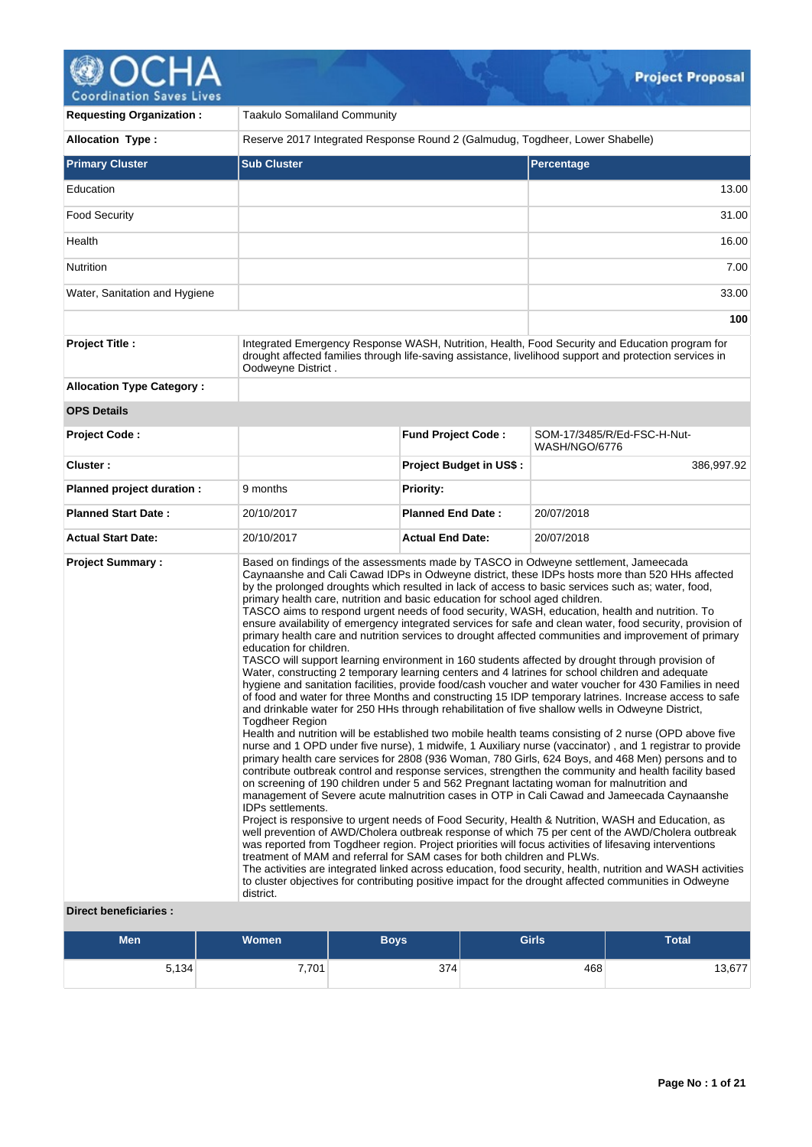# **OCHA**

| <b>Requesting Organization:</b>  | <b>Taakulo Somaliland Community</b>                                                                                                                                                                                                     |                                |                                                                                                                                                                                                                                                                                                                                                                                                                                                                                                                                                                                                                                                                                                                                                                                                                                                                                                                                                                                                                                                                                                                                                                                                                                                                                                                                                                                                                                                                                                                                                                                                                                                                                                                                                                                                                                                                                                                                                                                                                                                                                                                                                                                                                                                                                                                                          |  |  |  |
|----------------------------------|-----------------------------------------------------------------------------------------------------------------------------------------------------------------------------------------------------------------------------------------|--------------------------------|------------------------------------------------------------------------------------------------------------------------------------------------------------------------------------------------------------------------------------------------------------------------------------------------------------------------------------------------------------------------------------------------------------------------------------------------------------------------------------------------------------------------------------------------------------------------------------------------------------------------------------------------------------------------------------------------------------------------------------------------------------------------------------------------------------------------------------------------------------------------------------------------------------------------------------------------------------------------------------------------------------------------------------------------------------------------------------------------------------------------------------------------------------------------------------------------------------------------------------------------------------------------------------------------------------------------------------------------------------------------------------------------------------------------------------------------------------------------------------------------------------------------------------------------------------------------------------------------------------------------------------------------------------------------------------------------------------------------------------------------------------------------------------------------------------------------------------------------------------------------------------------------------------------------------------------------------------------------------------------------------------------------------------------------------------------------------------------------------------------------------------------------------------------------------------------------------------------------------------------------------------------------------------------------------------------------------------------|--|--|--|
| <b>Allocation Type:</b>          | Reserve 2017 Integrated Response Round 2 (Galmudug, Togdheer, Lower Shabelle)                                                                                                                                                           |                                |                                                                                                                                                                                                                                                                                                                                                                                                                                                                                                                                                                                                                                                                                                                                                                                                                                                                                                                                                                                                                                                                                                                                                                                                                                                                                                                                                                                                                                                                                                                                                                                                                                                                                                                                                                                                                                                                                                                                                                                                                                                                                                                                                                                                                                                                                                                                          |  |  |  |
| <b>Primary Cluster</b>           | <b>Sub Cluster</b>                                                                                                                                                                                                                      |                                | Percentage                                                                                                                                                                                                                                                                                                                                                                                                                                                                                                                                                                                                                                                                                                                                                                                                                                                                                                                                                                                                                                                                                                                                                                                                                                                                                                                                                                                                                                                                                                                                                                                                                                                                                                                                                                                                                                                                                                                                                                                                                                                                                                                                                                                                                                                                                                                               |  |  |  |
| Education                        |                                                                                                                                                                                                                                         |                                | 13.00                                                                                                                                                                                                                                                                                                                                                                                                                                                                                                                                                                                                                                                                                                                                                                                                                                                                                                                                                                                                                                                                                                                                                                                                                                                                                                                                                                                                                                                                                                                                                                                                                                                                                                                                                                                                                                                                                                                                                                                                                                                                                                                                                                                                                                                                                                                                    |  |  |  |
| <b>Food Security</b>             |                                                                                                                                                                                                                                         |                                | 31.00                                                                                                                                                                                                                                                                                                                                                                                                                                                                                                                                                                                                                                                                                                                                                                                                                                                                                                                                                                                                                                                                                                                                                                                                                                                                                                                                                                                                                                                                                                                                                                                                                                                                                                                                                                                                                                                                                                                                                                                                                                                                                                                                                                                                                                                                                                                                    |  |  |  |
| Health                           |                                                                                                                                                                                                                                         |                                | 16.00                                                                                                                                                                                                                                                                                                                                                                                                                                                                                                                                                                                                                                                                                                                                                                                                                                                                                                                                                                                                                                                                                                                                                                                                                                                                                                                                                                                                                                                                                                                                                                                                                                                                                                                                                                                                                                                                                                                                                                                                                                                                                                                                                                                                                                                                                                                                    |  |  |  |
| Nutrition                        |                                                                                                                                                                                                                                         |                                | 7.00                                                                                                                                                                                                                                                                                                                                                                                                                                                                                                                                                                                                                                                                                                                                                                                                                                                                                                                                                                                                                                                                                                                                                                                                                                                                                                                                                                                                                                                                                                                                                                                                                                                                                                                                                                                                                                                                                                                                                                                                                                                                                                                                                                                                                                                                                                                                     |  |  |  |
| Water, Sanitation and Hygiene    |                                                                                                                                                                                                                                         |                                | 33.00                                                                                                                                                                                                                                                                                                                                                                                                                                                                                                                                                                                                                                                                                                                                                                                                                                                                                                                                                                                                                                                                                                                                                                                                                                                                                                                                                                                                                                                                                                                                                                                                                                                                                                                                                                                                                                                                                                                                                                                                                                                                                                                                                                                                                                                                                                                                    |  |  |  |
|                                  |                                                                                                                                                                                                                                         |                                | 100                                                                                                                                                                                                                                                                                                                                                                                                                                                                                                                                                                                                                                                                                                                                                                                                                                                                                                                                                                                                                                                                                                                                                                                                                                                                                                                                                                                                                                                                                                                                                                                                                                                                                                                                                                                                                                                                                                                                                                                                                                                                                                                                                                                                                                                                                                                                      |  |  |  |
| <b>Project Title:</b>            | Integrated Emergency Response WASH, Nutrition, Health, Food Security and Education program for<br>drought affected families through life-saving assistance, livelihood support and protection services in<br>Oodweyne District.         |                                |                                                                                                                                                                                                                                                                                                                                                                                                                                                                                                                                                                                                                                                                                                                                                                                                                                                                                                                                                                                                                                                                                                                                                                                                                                                                                                                                                                                                                                                                                                                                                                                                                                                                                                                                                                                                                                                                                                                                                                                                                                                                                                                                                                                                                                                                                                                                          |  |  |  |
| <b>Allocation Type Category:</b> |                                                                                                                                                                                                                                         |                                |                                                                                                                                                                                                                                                                                                                                                                                                                                                                                                                                                                                                                                                                                                                                                                                                                                                                                                                                                                                                                                                                                                                                                                                                                                                                                                                                                                                                                                                                                                                                                                                                                                                                                                                                                                                                                                                                                                                                                                                                                                                                                                                                                                                                                                                                                                                                          |  |  |  |
| <b>OPS Details</b>               |                                                                                                                                                                                                                                         |                                |                                                                                                                                                                                                                                                                                                                                                                                                                                                                                                                                                                                                                                                                                                                                                                                                                                                                                                                                                                                                                                                                                                                                                                                                                                                                                                                                                                                                                                                                                                                                                                                                                                                                                                                                                                                                                                                                                                                                                                                                                                                                                                                                                                                                                                                                                                                                          |  |  |  |
| <b>Project Code:</b>             |                                                                                                                                                                                                                                         | <b>Fund Project Code:</b>      | SOM-17/3485/R/Ed-FSC-H-Nut-<br>WASH/NGO/6776                                                                                                                                                                                                                                                                                                                                                                                                                                                                                                                                                                                                                                                                                                                                                                                                                                                                                                                                                                                                                                                                                                                                                                                                                                                                                                                                                                                                                                                                                                                                                                                                                                                                                                                                                                                                                                                                                                                                                                                                                                                                                                                                                                                                                                                                                             |  |  |  |
| Cluster:                         |                                                                                                                                                                                                                                         | <b>Project Budget in US\$:</b> | 386,997.92                                                                                                                                                                                                                                                                                                                                                                                                                                                                                                                                                                                                                                                                                                                                                                                                                                                                                                                                                                                                                                                                                                                                                                                                                                                                                                                                                                                                                                                                                                                                                                                                                                                                                                                                                                                                                                                                                                                                                                                                                                                                                                                                                                                                                                                                                                                               |  |  |  |
| Planned project duration :       | 9 months                                                                                                                                                                                                                                | <b>Priority:</b>               |                                                                                                                                                                                                                                                                                                                                                                                                                                                                                                                                                                                                                                                                                                                                                                                                                                                                                                                                                                                                                                                                                                                                                                                                                                                                                                                                                                                                                                                                                                                                                                                                                                                                                                                                                                                                                                                                                                                                                                                                                                                                                                                                                                                                                                                                                                                                          |  |  |  |
| <b>Planned Start Date:</b>       | 20/10/2017                                                                                                                                                                                                                              | <b>Planned End Date:</b>       | 20/07/2018                                                                                                                                                                                                                                                                                                                                                                                                                                                                                                                                                                                                                                                                                                                                                                                                                                                                                                                                                                                                                                                                                                                                                                                                                                                                                                                                                                                                                                                                                                                                                                                                                                                                                                                                                                                                                                                                                                                                                                                                                                                                                                                                                                                                                                                                                                                               |  |  |  |
| <b>Actual Start Date:</b>        | 20/10/2017                                                                                                                                                                                                                              | <b>Actual End Date:</b>        | 20/07/2018                                                                                                                                                                                                                                                                                                                                                                                                                                                                                                                                                                                                                                                                                                                                                                                                                                                                                                                                                                                                                                                                                                                                                                                                                                                                                                                                                                                                                                                                                                                                                                                                                                                                                                                                                                                                                                                                                                                                                                                                                                                                                                                                                                                                                                                                                                                               |  |  |  |
| <b>Project Summary:</b>          | primary health care, nutrition and basic education for school aged children.<br>education for children.<br>Togdheer Region<br>IDPs settlements.<br>treatment of MAM and referral for SAM cases for both children and PLWs.<br>district. |                                | Based on findings of the assessments made by TASCO in Odweyne settlement, Jameecada<br>Caynaanshe and Cali Cawad IDPs in Odweyne district, these IDPs hosts more than 520 HHs affected<br>by the prolonged droughts which resulted in lack of access to basic services such as; water, food,<br>TASCO aims to respond urgent needs of food security, WASH, education, health and nutrition. To<br>ensure availability of emergency integrated services for safe and clean water, food security, provision of<br>primary health care and nutrition services to drought affected communities and improvement of primary<br>TASCO will support learning environment in 160 students affected by drought through provision of<br>Water, constructing 2 temporary learning centers and 4 latrines for school children and adequate<br>hygiene and sanitation facilities, provide food/cash voucher and water voucher for 430 Families in need<br>of food and water for three Months and constructing 15 IDP temporary latrines. Increase access to safe<br>and drinkable water for 250 HHs through rehabilitation of five shallow wells in Odweyne District,<br>Health and nutrition will be established two mobile health teams consisting of 2 nurse (OPD above five<br>nurse and 1 OPD under five nurse), 1 midwife, 1 Auxiliary nurse (vaccinator), and 1 registrar to provide<br>primary health care services for 2808 (936 Woman, 780 Girls, 624 Boys, and 468 Men) persons and to<br>contribute outbreak control and response services, strengthen the community and health facility based<br>on screening of 190 children under 5 and 562 Pregnant lactating woman for malnutrition and<br>management of Severe acute malnutrition cases in OTP in Cali Cawad and Jameecada Caynaanshe<br>Project is responsive to urgent needs of Food Security, Health & Nutrition, WASH and Education, as<br>well prevention of AWD/Cholera outbreak response of which 75 per cent of the AWD/Cholera outbreak<br>was reported from Togdheer region. Project priorities will focus activities of lifesaving interventions<br>The activities are integrated linked across education, food security, health, nutrition and WASH activities<br>to cluster objectives for contributing positive impact for the drought affected communities in Odweyne |  |  |  |

# **Direct beneficiaries :**

| <b>Men</b> | Women | <b>Boys</b> | <b>Girls</b> | <b>Total</b> |
|------------|-------|-------------|--------------|--------------|
| 5,134      | 7,701 | 374         | 468          | 13,677       |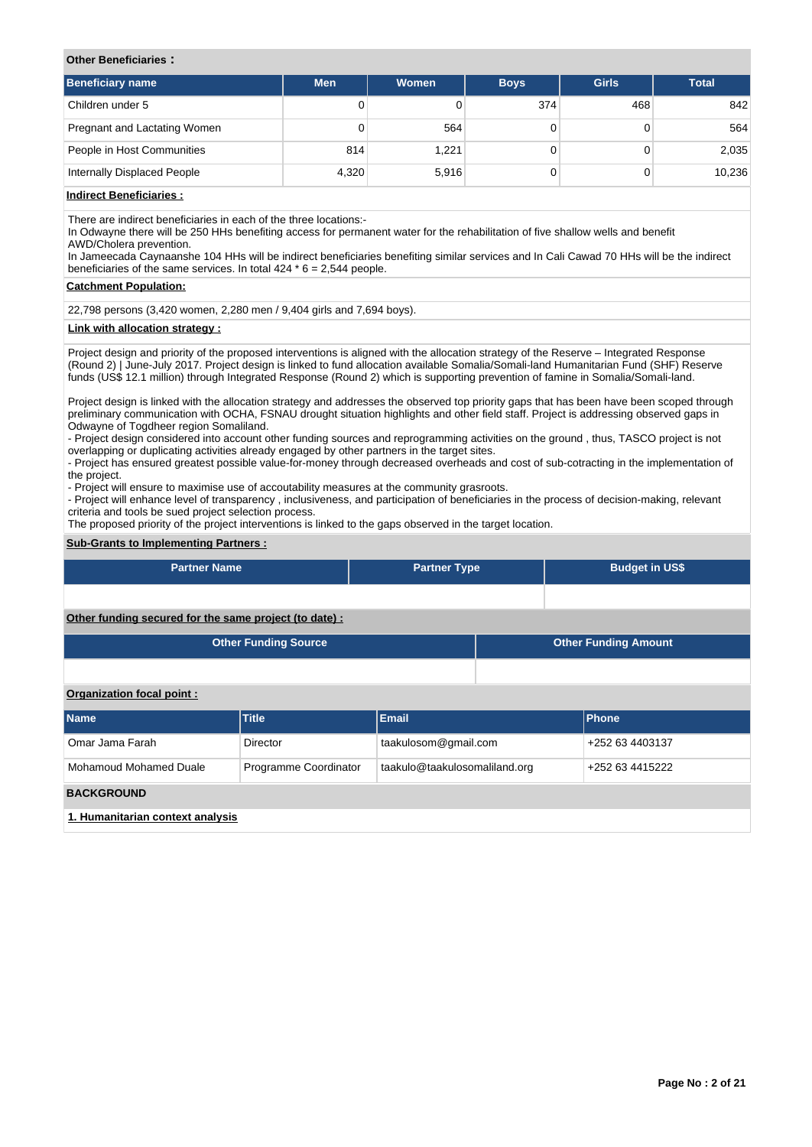## **Other Beneficiaries :**

| <b>Beneficiary name</b>      | <b>Men</b> | <b>Women</b> | <b>Boys</b> | <b>Girls</b> | <b>Total</b> |
|------------------------------|------------|--------------|-------------|--------------|--------------|
| Children under 5             | 0          |              | 374         | 468          | 842          |
| Pregnant and Lactating Women | 0          | 564          |             |              | 564          |
| People in Host Communities   | 814        | 1,221        |             |              | 2,035        |
| Internally Displaced People  | 4,320      | 5,916        | 0           |              | 10,236       |

# **Indirect Beneficiaries :**

There are indirect beneficiaries in each of the three locations:-

In Odwayne there will be 250 HHs benefiting access for permanent water for the rehabilitation of five shallow wells and benefit AWD/Cholera prevention.

In Jameecada Caynaanshe 104 HHs will be indirect beneficiaries benefiting similar services and In Cali Cawad 70 HHs will be the indirect beneficiaries of the same services. In total 424  $*$  6 = 2,544 people.

#### **Catchment Population:**

22,798 persons (3,420 women, 2,280 men / 9,404 girls and 7,694 boys).

## **Link with allocation strategy :**

Project design and priority of the proposed interventions is aligned with the allocation strategy of the Reserve – Integrated Response (Round 2) | June-July 2017. Project design is linked to fund allocation available Somalia/Somali-land Humanitarian Fund (SHF) Reserve funds (US\$ 12.1 million) through Integrated Response (Round 2) which is supporting prevention of famine in Somalia/Somali-land.

Project design is linked with the allocation strategy and addresses the observed top priority gaps that has been have been scoped through preliminary communication with OCHA, FSNAU drought situation highlights and other field staff. Project is addressing observed gaps in Odwayne of Togdheer region Somaliland.

- Project design considered into account other funding sources and reprogramming activities on the ground , thus, TASCO project is not overlapping or duplicating activities already engaged by other partners in the target sites.

- Project has ensured greatest possible value-for-money through decreased overheads and cost of sub-cotracting in the implementation of the project.

- Project will ensure to maximise use of accoutability measures at the community grasroots.

- Project will enhance level of transparency , inclusiveness, and participation of beneficiaries in the process of decision-making, relevant criteria and tools be sued project selection process.

The proposed priority of the project interventions is linked to the gaps observed in the target location.

## **Sub-Grants to Implementing Partners :**

| <b>Partner Name</b>                                    | <b>Partner Type</b> | <b>Budget in US\$</b> |
|--------------------------------------------------------|---------------------|-----------------------|
|                                                        |                     |                       |
| Other funding secured for the same project (to date) : |                     |                       |

| <b>Other Funding Source</b> | <b>Other Funding Amount</b> |
|-----------------------------|-----------------------------|
|                             |                             |

**Organization focal point :**

| <b>Name</b>                      | <b>Title</b>          | <b>Email</b>                  | Phone           |  |  |  |
|----------------------------------|-----------------------|-------------------------------|-----------------|--|--|--|
| Omar Jama Farah                  | Director              | taakulosom@gmail.com          | +252 63 4403137 |  |  |  |
| Mohamoud Mohamed Duale           | Programme Coordinator | taakulo@taakulosomaliland.org | +252 63 4415222 |  |  |  |
| <b>BACKGROUND</b>                |                       |                               |                 |  |  |  |
| 1. Humanitarian context analysis |                       |                               |                 |  |  |  |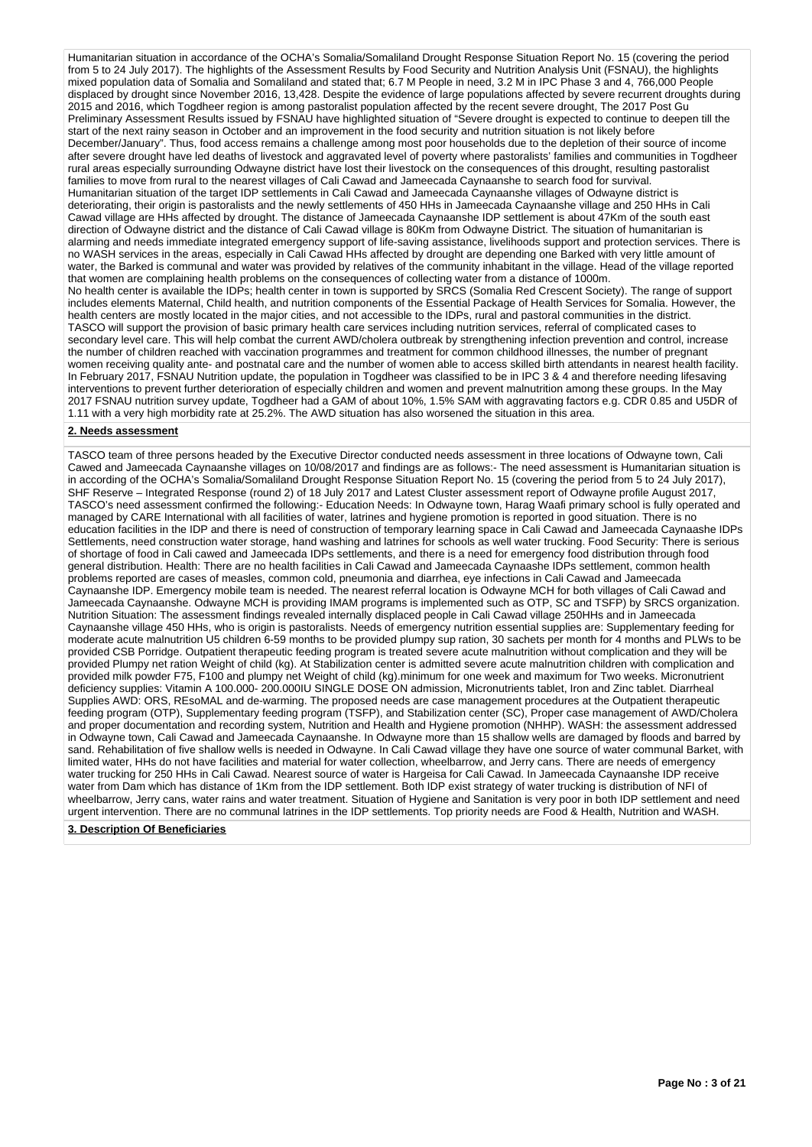Humanitarian situation in accordance of the OCHA's Somalia/Somaliland Drought Response Situation Report No. 15 (covering the period from 5 to 24 July 2017). The highlights of the Assessment Results by Food Security and Nutrition Analysis Unit (FSNAU), the highlights mixed population data of Somalia and Somaliland and stated that; 6.7 M People in need, 3.2 M in IPC Phase 3 and 4, 766,000 People displaced by drought since November 2016, 13,428. Despite the evidence of large populations affected by severe recurrent droughts during 2015 and 2016, which Togdheer region is among pastoralist population affected by the recent severe drought, The 2017 Post Gu Preliminary Assessment Results issued by FSNAU have highlighted situation of "Severe drought is expected to continue to deepen till the start of the next rainy season in October and an improvement in the food security and nutrition situation is not likely before December/January". Thus, food access remains a challenge among most poor households due to the depletion of their source of income after severe drought have led deaths of livestock and aggravated level of poverty where pastoralists' families and communities in Togdheer rural areas especially surrounding Odwayne district have lost their livestock on the consequences of this drought, resulting pastoralist families to move from rural to the nearest villages of Cali Cawad and Jameecada Caynaanshe to search food for survival. Humanitarian situation of the target IDP settlements in Cali Cawad and Jameecada Caynaanshe villages of Odwayne district is deteriorating, their origin is pastoralists and the newly settlements of 450 HHs in Jameecada Caynaanshe village and 250 HHs in Cali Cawad village are HHs affected by drought. The distance of Jameecada Caynaanshe IDP settlement is about 47Km of the south east direction of Odwayne district and the distance of Cali Cawad village is 80Km from Odwayne District. The situation of humanitarian is alarming and needs immediate integrated emergency support of life-saving assistance, livelihoods support and protection services. There is no WASH services in the areas, especially in Cali Cawad HHs affected by drought are depending one Barked with very little amount of water, the Barked is communal and water was provided by relatives of the community inhabitant in the village. Head of the village reported that women are complaining health problems on the consequences of collecting water from a distance of 1000m. No health center is available the IDPs; health center in town is supported by SRCS (Somalia Red Crescent Society). The range of support includes elements Maternal, Child health, and nutrition components of the Essential Package of Health Services for Somalia. However, the health centers are mostly located in the major cities, and not accessible to the IDPs, rural and pastoral communities in the district. TASCO will support the provision of basic primary health care services including nutrition services, referral of complicated cases to secondary level care. This will help combat the current AWD/cholera outbreak by strengthening infection prevention and control, increase the number of children reached with vaccination programmes and treatment for common childhood illnesses, the number of pregnant women receiving quality ante- and postnatal care and the number of women able to access skilled birth attendants in nearest health facility. In February 2017, FSNAU Nutrition update, the population in Togdheer was classified to be in IPC 3 & 4 and therefore needing lifesaving interventions to prevent further deterioration of especially children and women and prevent malnutrition among these groups. In the May 2017 FSNAU nutrition survey update, Togdheer had a GAM of about 10%, 1.5% SAM with aggravating factors e.g. CDR 0.85 and U5DR of 1.11 with a very high morbidity rate at 25.2%. The AWD situation has also worsened the situation in this area.

## **2. Needs assessment**

TASCO team of three persons headed by the Executive Director conducted needs assessment in three locations of Odwayne town, Cali Cawed and Jameecada Caynaanshe villages on 10/08/2017 and findings are as follows:- The need assessment is Humanitarian situation is in according of the OCHA's Somalia/Somaliland Drought Response Situation Report No. 15 (covering the period from 5 to 24 July 2017), SHF Reserve – Integrated Response (round 2) of 18 July 2017 and Latest Cluster assessment report of Odwayne profile August 2017, TASCO's need assessment confirmed the following:- Education Needs: In Odwayne town, Harag Waafi primary school is fully operated and managed by CARE International with all facilities of water, latrines and hygiene promotion is reported in good situation. There is no education facilities in the IDP and there is need of construction of temporary learning space in Cali Cawad and Jameecada Caynaashe IDPs Settlements, need construction water storage, hand washing and latrines for schools as well water trucking. Food Security: There is serious of shortage of food in Cali cawed and Jameecada IDPs settlements, and there is a need for emergency food distribution through food general distribution. Health: There are no health facilities in Cali Cawad and Jameecada Caynaashe IDPs settlement, common health problems reported are cases of measles, common cold, pneumonia and diarrhea, eye infections in Cali Cawad and Jameecada Caynaanshe IDP. Emergency mobile team is needed. The nearest referral location is Odwayne MCH for both villages of Cali Cawad and Jameecada Caynaanshe. Odwayne MCH is providing IMAM programs is implemented such as OTP, SC and TSFP) by SRCS organization. Nutrition Situation: The assessment findings revealed internally displaced people in Cali Cawad village 250HHs and in Jameecada Caynaanshe village 450 HHs, who is origin is pastoralists. Needs of emergency nutrition essential supplies are: Supplementary feeding for moderate acute malnutrition U5 children 6-59 months to be provided plumpy sup ration, 30 sachets per month for 4 months and PLWs to be provided CSB Porridge. Outpatient therapeutic feeding program is treated severe acute malnutrition without complication and they will be provided Plumpy net ration Weight of child (kg). At Stabilization center is admitted severe acute malnutrition children with complication and provided milk powder F75, F100 and plumpy net Weight of child (kg).minimum for one week and maximum for Two weeks. Micronutrient deficiency supplies: Vitamin A 100.000- 200.000IU SINGLE DOSE ON admission, Micronutrients tablet, Iron and Zinc tablet. Diarrheal Supplies AWD: ORS, REsoMAL and de-warming. The proposed needs are case management procedures at the Outpatient therapeutic feeding program (OTP), Supplementary feeding program (TSFP), and Stabilization center (SC), Proper case management of AWD/Cholera and proper documentation and recording system, Nutrition and Health and Hygiene promotion (NHHP). WASH: the assessment addressed in Odwayne town, Cali Cawad and Jameecada Caynaanshe. In Odwayne more than 15 shallow wells are damaged by floods and barred by sand. Rehabilitation of five shallow wells is needed in Odwayne. In Cali Cawad village they have one source of water communal Barket, with limited water, HHs do not have facilities and material for water collection, wheelbarrow, and Jerry cans. There are needs of emergency water trucking for 250 HHs in Cali Cawad. Nearest source of water is Hargeisa for Cali Cawad. In Jameecada Caynaanshe IDP receive water from Dam which has distance of 1Km from the IDP settlement. Both IDP exist strategy of water trucking is distribution of NFI of wheelbarrow, Jerry cans, water rains and water treatment. Situation of Hygiene and Sanitation is very poor in both IDP settlement and need urgent intervention. There are no communal latrines in the IDP settlements. Top priority needs are Food & Health, Nutrition and WASH.

## **3. Description Of Beneficiaries**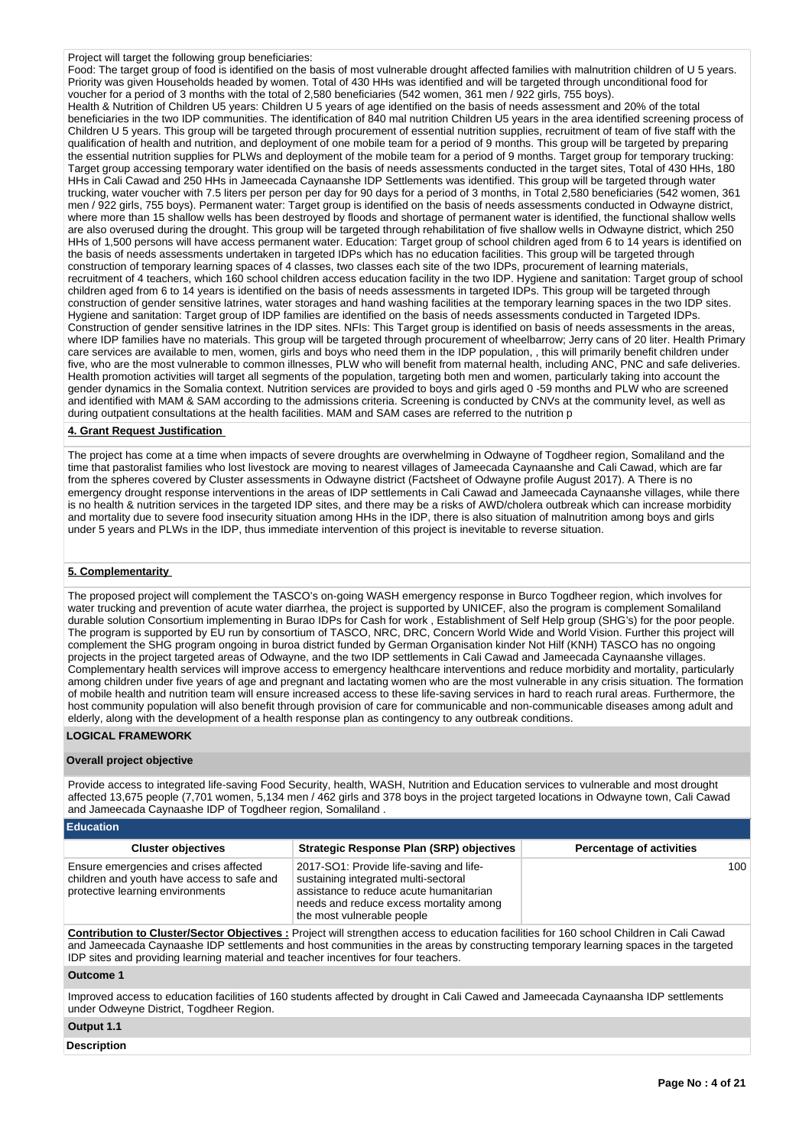#### Project will target the following group beneficiaries:

Food: The target group of food is identified on the basis of most vulnerable drought affected families with malnutrition children of U 5 years. Priority was given Households headed by women. Total of 430 HHs was identified and will be targeted through unconditional food for voucher for a period of 3 months with the total of 2,580 beneficiaries (542 women, 361 men / 922 girls, 755 boys). Health & Nutrition of Children U5 years: Children U 5 years of age identified on the basis of needs assessment and 20% of the total beneficiaries in the two IDP communities. The identification of 840 mal nutrition Children U5 years in the area identified screening process of Children U 5 years. This group will be targeted through procurement of essential nutrition supplies, recruitment of team of five staff with the qualification of health and nutrition, and deployment of one mobile team for a period of 9 months. This group will be targeted by preparing the essential nutrition supplies for PLWs and deployment of the mobile team for a period of 9 months. Target group for temporary trucking: Target group accessing temporary water identified on the basis of needs assessments conducted in the target sites, Total of 430 HHs, 180 HHs in Cali Cawad and 250 HHs in Jameecada Caynaanshe IDP Settlements was identified. This group will be targeted through water trucking, water voucher with 7.5 liters per person per day for 90 days for a period of 3 months, in Total 2,580 beneficiaries (542 women, 361 men / 922 girls, 755 boys). Permanent water: Target group is identified on the basis of needs assessments conducted in Odwayne district, where more than 15 shallow wells has been destroyed by floods and shortage of permanent water is identified, the functional shallow wells are also overused during the drought. This group will be targeted through rehabilitation of five shallow wells in Odwayne district, which 250 HHs of 1,500 persons will have access permanent water. Education: Target group of school children aged from 6 to 14 years is identified on the basis of needs assessments undertaken in targeted IDPs which has no education facilities. This group will be targeted through construction of temporary learning spaces of 4 classes, two classes each site of the two IDPs, procurement of learning materials, recruitment of 4 teachers, which 160 school children access education facility in the two IDP. Hygiene and sanitation: Target group of school children aged from 6 to 14 years is identified on the basis of needs assessments in targeted IDPs. This group will be targeted through construction of gender sensitive latrines, water storages and hand washing facilities at the temporary learning spaces in the two IDP sites. Hygiene and sanitation: Target group of IDP families are identified on the basis of needs assessments conducted in Targeted IDPs. Construction of gender sensitive latrines in the IDP sites. NFIs: This Target group is identified on basis of needs assessments in the areas, where IDP families have no materials. This group will be targeted through procurement of wheelbarrow; Jerry cans of 20 liter. Health Primary care services are available to men, women, girls and boys who need them in the IDP population, , this will primarily benefit children under five, who are the most vulnerable to common illnesses, PLW who will benefit from maternal health, including ANC, PNC and safe deliveries. Health promotion activities will target all segments of the population, targeting both men and women, particularly taking into account the gender dynamics in the Somalia context. Nutrition services are provided to boys and girls aged 0 -59 months and PLW who are screened and identified with MAM & SAM according to the admissions criteria. Screening is conducted by CNVs at the community level, as well as during outpatient consultations at the health facilities. MAM and SAM cases are referred to the nutrition p

## **4. Grant Request Justification**

The project has come at a time when impacts of severe droughts are overwhelming in Odwayne of Togdheer region, Somaliland and the time that pastoralist families who lost livestock are moving to nearest villages of Jameecada Caynaanshe and Cali Cawad, which are far from the spheres covered by Cluster assessments in Odwayne district (Factsheet of Odwayne profile August 2017). A There is no emergency drought response interventions in the areas of IDP settlements in Cali Cawad and Jameecada Caynaanshe villages, while there is no health & nutrition services in the targeted IDP sites, and there may be a risks of AWD/cholera outbreak which can increase morbidity and mortality due to severe food insecurity situation among HHs in the IDP, there is also situation of malnutrition among boys and girls under 5 years and PLWs in the IDP, thus immediate intervention of this project is inevitable to reverse situation.

## **5. Complementarity**

The proposed project will complement the TASCO's on-going WASH emergency response in Burco Togdheer region, which involves for water trucking and prevention of acute water diarrhea, the project is supported by UNICEF, also the program is complement Somaliland durable solution Consortium implementing in Burao IDPs for Cash for work , Establishment of Self Help group (SHG's) for the poor people. The program is supported by EU run by consortium of TASCO, NRC, DRC, Concern World Wide and World Vision. Further this project will complement the SHG program ongoing in buroa district funded by German Organisation kinder Not Hilf (KNH) TASCO has no ongoing projects in the project targeted areas of Odwayne, and the two IDP settlements in Cali Cawad and Jameecada Caynaanshe villages. Complementary health services will improve access to emergency healthcare interventions and reduce morbidity and mortality, particularly among children under five years of age and pregnant and lactating women who are the most vulnerable in any crisis situation. The formation of mobile health and nutrition team will ensure increased access to these life-saving services in hard to reach rural areas. Furthermore, the host community population will also benefit through provision of care for communicable and non-communicable diseases among adult and elderly, along with the development of a health response plan as contingency to any outbreak conditions.

## **LOGICAL FRAMEWORK**

#### **Overall project objective**

Provide access to integrated life-saving Food Security, health, WASH, Nutrition and Education services to vulnerable and most drought affected 13,675 people (7,701 women, 5,134 men / 462 girls and 378 boys in the project targeted locations in Odwayne town, Cali Cawad and Jameecada Caynaashe IDP of Togdheer region, Somaliland .

| <b>Education</b>                                                                                                         |                                                                                                                                                                                                     |                                 |
|--------------------------------------------------------------------------------------------------------------------------|-----------------------------------------------------------------------------------------------------------------------------------------------------------------------------------------------------|---------------------------------|
| <b>Cluster objectives</b>                                                                                                | <b>Strategic Response Plan (SRP) objectives</b>                                                                                                                                                     | <b>Percentage of activities</b> |
| Ensure emergencies and crises affected<br>children and youth have access to safe and<br>protective learning environments | 2017-SO1: Provide life-saving and life-<br>sustaining integrated multi-sectoral<br>assistance to reduce acute humanitarian<br>needs and reduce excess mortality among<br>the most vulnerable people | 100                             |
|                                                                                                                          | Osatallentian ta ObratallOsatan Okiaathraa : Daciaathrill ataasatkan saasas ta abraatan faalitiga fand Oo sakaal Okilahan in Oali Osmaal                                                            |                                 |

**Contribution to Cluster/Sector Objectives :** Project will strengthen access to education facilities for 160 school Children in Cali Cawad and Jameecada Caynaashe IDP settlements and host communities in the areas by constructing temporary learning spaces in the targeted IDP sites and providing learning material and teacher incentives for four teachers.

## **Outcome 1**

Improved access to education facilities of 160 students affected by drought in Cali Cawed and Jameecada Caynaansha IDP settlements under Odweyne District, Togdheer Region.

# **Output 1.1**

**Description**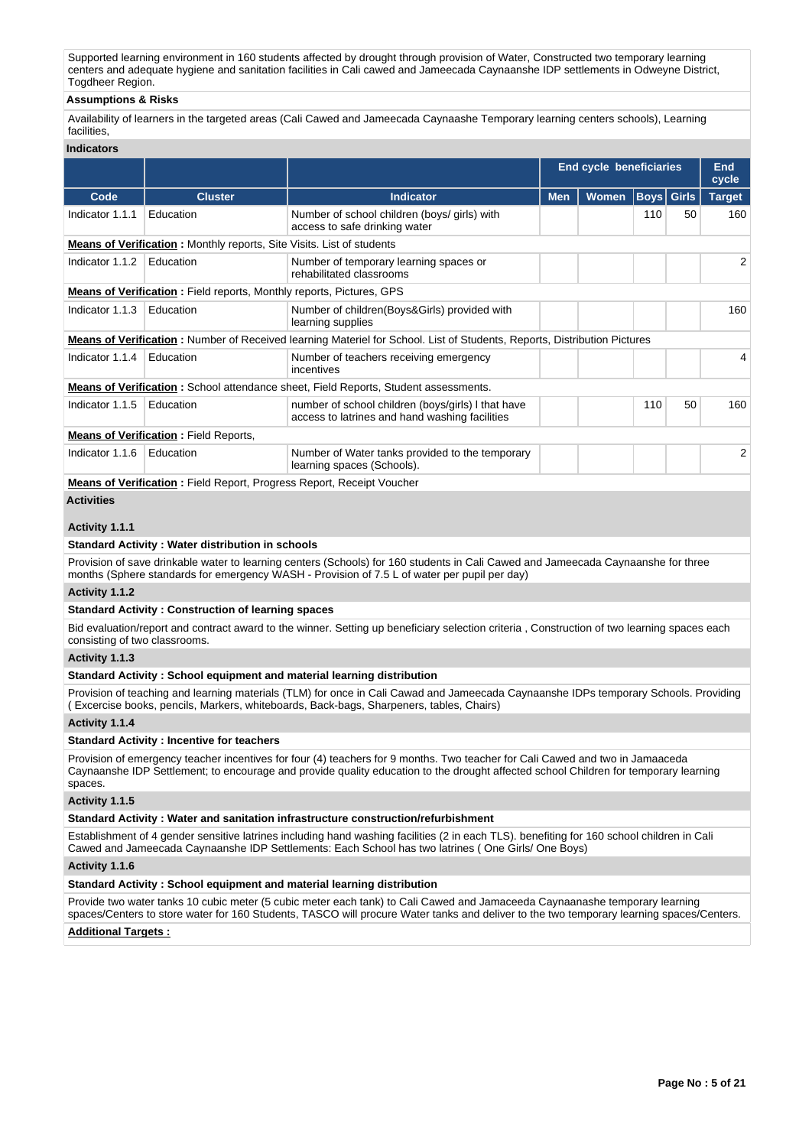Supported learning environment in 160 students affected by drought through provision of Water, Constructed two temporary learning centers and adequate hygiene and sanitation facilities in Cali cawed and Jameecada Caynaanshe IDP settlements in Odweyne District, Togdheer Region.

# **Assumptions & Risks**

Availability of learners in the targeted areas (Cali Cawed and Jameecada Caynaashe Temporary learning centers schools), Learning facilities,

# **Indicators**

| iliuluatui ə                        |                                                                                                                                                                                                                                                                       |                                                                                                                                                                                                                                                  |                                |       |      |                     |               |  |  |
|-------------------------------------|-----------------------------------------------------------------------------------------------------------------------------------------------------------------------------------------------------------------------------------------------------------------------|--------------------------------------------------------------------------------------------------------------------------------------------------------------------------------------------------------------------------------------------------|--------------------------------|-------|------|---------------------|---------------|--|--|
|                                     |                                                                                                                                                                                                                                                                       |                                                                                                                                                                                                                                                  | <b>End cycle beneficiaries</b> |       |      | <b>End</b><br>cycle |               |  |  |
| Code                                | <b>Cluster</b>                                                                                                                                                                                                                                                        | <b>Indicator</b>                                                                                                                                                                                                                                 | <b>Men</b>                     | Women | Boys | <b>Girls</b>        | <b>Target</b> |  |  |
| Indicator 1.1.1                     | Education                                                                                                                                                                                                                                                             | Number of school children (boys/ girls) with<br>access to safe drinking water                                                                                                                                                                    |                                |       | 110  | 50                  | 160           |  |  |
|                                     | Means of Verification: Monthly reports, Site Visits. List of students                                                                                                                                                                                                 |                                                                                                                                                                                                                                                  |                                |       |      |                     |               |  |  |
| Indicator 1.1.2                     | Education                                                                                                                                                                                                                                                             | Number of temporary learning spaces or<br>rehabilitated classrooms                                                                                                                                                                               |                                |       |      |                     | 2             |  |  |
|                                     | Means of Verification: Field reports, Monthly reports, Pictures, GPS                                                                                                                                                                                                  |                                                                                                                                                                                                                                                  |                                |       |      |                     |               |  |  |
| Indicator 1.1.3                     | Education                                                                                                                                                                                                                                                             | Number of children(Boys&Girls) provided with<br>learning supplies                                                                                                                                                                                |                                |       |      |                     | 160           |  |  |
|                                     |                                                                                                                                                                                                                                                                       | <b>Means of Verification</b> : Number of Received learning Materiel for School. List of Students, Reports, Distribution Pictures                                                                                                                 |                                |       |      |                     |               |  |  |
| Indicator 1.1.4                     | Education                                                                                                                                                                                                                                                             | Number of teachers receiving emergency<br>incentives                                                                                                                                                                                             |                                |       |      |                     | 4             |  |  |
|                                     |                                                                                                                                                                                                                                                                       | <b>Means of Verification:</b> School attendance sheet, Field Reports, Student assessments.                                                                                                                                                       |                                |       |      |                     |               |  |  |
| Indicator 1.1.5                     | Education                                                                                                                                                                                                                                                             | number of school children (boys/girls) I that have<br>access to latrines and hand washing facilities                                                                                                                                             |                                |       | 110  | 50                  | 160           |  |  |
|                                     | <b>Means of Verification:</b> Field Reports,                                                                                                                                                                                                                          |                                                                                                                                                                                                                                                  |                                |       |      |                     |               |  |  |
| Indicator 1.1.6                     | Education                                                                                                                                                                                                                                                             | Number of Water tanks provided to the temporary<br>learning spaces (Schools).                                                                                                                                                                    |                                |       |      |                     | 2             |  |  |
|                                     | Means of Verification: Field Report, Progress Report, Receipt Voucher                                                                                                                                                                                                 |                                                                                                                                                                                                                                                  |                                |       |      |                     |               |  |  |
| <b>Activities</b><br>Activity 1.1.1 |                                                                                                                                                                                                                                                                       |                                                                                                                                                                                                                                                  |                                |       |      |                     |               |  |  |
|                                     | <b>Standard Activity: Water distribution in schools</b>                                                                                                                                                                                                               |                                                                                                                                                                                                                                                  |                                |       |      |                     |               |  |  |
|                                     |                                                                                                                                                                                                                                                                       | Provision of save drinkable water to learning centers (Schools) for 160 students in Cali Cawed and Jameecada Caynaanshe for three<br>months (Sphere standards for emergency WASH - Provision of 7.5 L of water per pupil per day)                |                                |       |      |                     |               |  |  |
| Activity 1.1.2                      |                                                                                                                                                                                                                                                                       |                                                                                                                                                                                                                                                  |                                |       |      |                     |               |  |  |
|                                     | <b>Standard Activity: Construction of learning spaces</b>                                                                                                                                                                                                             |                                                                                                                                                                                                                                                  |                                |       |      |                     |               |  |  |
| consisting of two classrooms.       |                                                                                                                                                                                                                                                                       | Bid evaluation/report and contract award to the winner. Setting up beneficiary selection criteria, Construction of two learning spaces each                                                                                                      |                                |       |      |                     |               |  |  |
| Activity 1.1.3                      |                                                                                                                                                                                                                                                                       |                                                                                                                                                                                                                                                  |                                |       |      |                     |               |  |  |
|                                     |                                                                                                                                                                                                                                                                       | Standard Activity: School equipment and material learning distribution                                                                                                                                                                           |                                |       |      |                     |               |  |  |
|                                     |                                                                                                                                                                                                                                                                       | Provision of teaching and learning materials (TLM) for once in Cali Cawad and Jameecada Caynaanshe IDPs temporary Schools. Providing<br>(Excercise books, pencils, Markers, whiteboards, Back-bags, Sharpeners, tables, Chairs)                  |                                |       |      |                     |               |  |  |
| Activity 1.1.4                      |                                                                                                                                                                                                                                                                       |                                                                                                                                                                                                                                                  |                                |       |      |                     |               |  |  |
|                                     | <b>Standard Activity: Incentive for teachers</b>                                                                                                                                                                                                                      |                                                                                                                                                                                                                                                  |                                |       |      |                     |               |  |  |
| spaces.                             | Provision of emergency teacher incentives for four (4) teachers for 9 months. Two teacher for Cali Cawed and two in Jamaaceda<br>Caynaanshe IDP Settlement; to encourage and provide quality education to the drought affected school Children for temporary learning |                                                                                                                                                                                                                                                  |                                |       |      |                     |               |  |  |
| Activity 1.1.5                      |                                                                                                                                                                                                                                                                       |                                                                                                                                                                                                                                                  |                                |       |      |                     |               |  |  |
|                                     |                                                                                                                                                                                                                                                                       | Standard Activity: Water and sanitation infrastructure construction/refurbishment                                                                                                                                                                |                                |       |      |                     |               |  |  |
|                                     |                                                                                                                                                                                                                                                                       | Establishment of 4 gender sensitive latrines including hand washing facilities (2 in each TLS). benefiting for 160 school children in Cali<br>Cawed and Jameecada Caynaanshe IDP Settlements: Each School has two latrines (One Girls/ One Boys) |                                |       |      |                     |               |  |  |
| Activity 1.1.6                      |                                                                                                                                                                                                                                                                       |                                                                                                                                                                                                                                                  |                                |       |      |                     |               |  |  |
|                                     |                                                                                                                                                                                                                                                                       | Standard Activity: School equipment and material learning distribution                                                                                                                                                                           |                                |       |      |                     |               |  |  |
|                                     |                                                                                                                                                                                                                                                                       | Provide two water tanks 10 cubic meter (5 cubic meter each tank) to Cali Cawed and Jamaceeda Caynaanashe temporary learning                                                                                                                      |                                |       |      |                     |               |  |  |

spaces/Centers to store water for 160 Students, TASCO will procure Water tanks and deliver to the two temporary learning spaces/Centers.

# **Additional Targets :**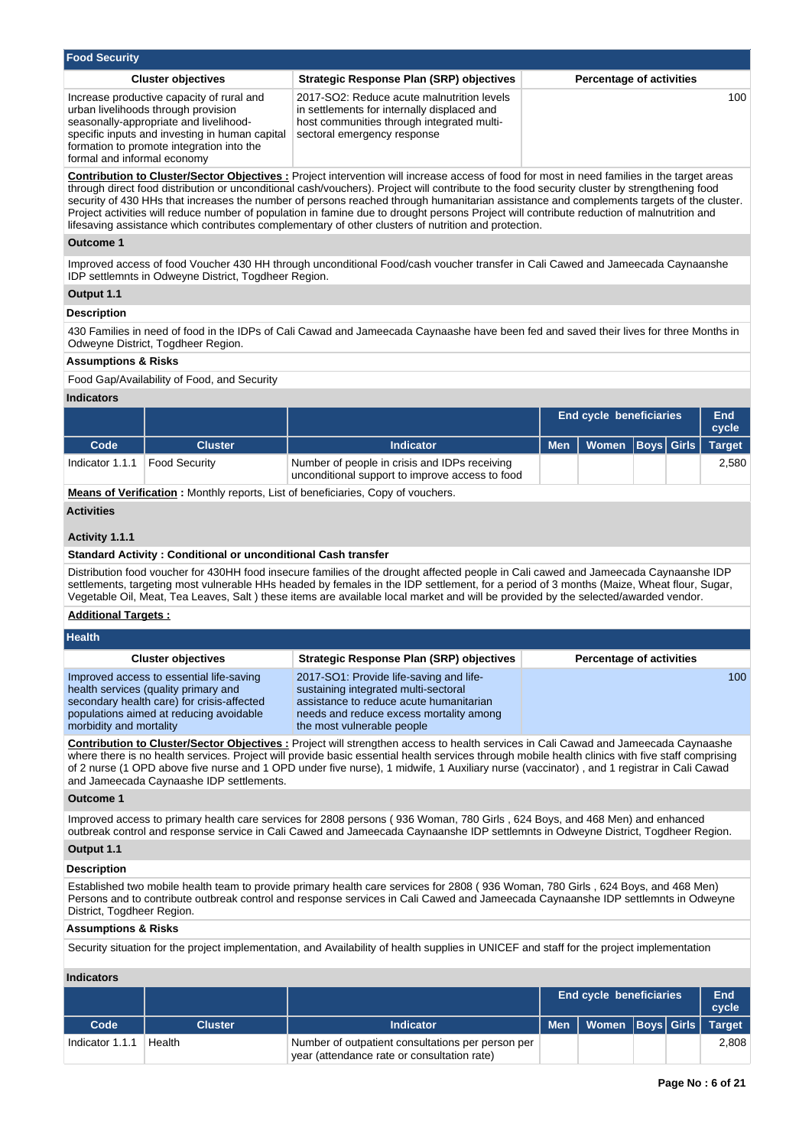| Food Security                                                                                                                                                                                                                                                                                                                                                                                                                                                                                                                                                                                                                                                                                       |                                                                                                                                                                        |                                 |  |  |  |
|-----------------------------------------------------------------------------------------------------------------------------------------------------------------------------------------------------------------------------------------------------------------------------------------------------------------------------------------------------------------------------------------------------------------------------------------------------------------------------------------------------------------------------------------------------------------------------------------------------------------------------------------------------------------------------------------------------|------------------------------------------------------------------------------------------------------------------------------------------------------------------------|---------------------------------|--|--|--|
| <b>Cluster objectives</b>                                                                                                                                                                                                                                                                                                                                                                                                                                                                                                                                                                                                                                                                           | <b>Strategic Response Plan (SRP) objectives</b>                                                                                                                        | <b>Percentage of activities</b> |  |  |  |
| Increase productive capacity of rural and<br>urban livelihoods through provision<br>seasonally-appropriate and livelihood-<br>specific inputs and investing in human capital<br>formation to promote integration into the<br>formal and informal economy                                                                                                                                                                                                                                                                                                                                                                                                                                            | 2017-SO2: Reduce acute malnutrition levels<br>in settlements for internally displaced and<br>host communities through integrated multi-<br>sectoral emergency response | 100                             |  |  |  |
| <b>Contribution to Cluster/Sector Objectives:</b> Project intervention will increase access of food for most in need families in the target areas<br>through direct food distribution or unconditional cash/vouchers). Project will contribute to the food security cluster by strengthening food<br>security of 430 HHs that increases the number of persons reached through humanitarian assistance and complements targets of the cluster.<br>Project activities will reduce number of population in famine due to drought persons Project will contribute reduction of malnutrition and<br>lifesaving assistance which contributes complementary of other clusters of nutrition and protection. |                                                                                                                                                                        |                                 |  |  |  |
| Outcome 1                                                                                                                                                                                                                                                                                                                                                                                                                                                                                                                                                                                                                                                                                           |                                                                                                                                                                        |                                 |  |  |  |
| Improved access of food Voucher 430 HH through unconditional Food/cash voucher transfer in Cali Cawed and Jameecada Caynaanshe<br>IDP settlemnts in Odweyne District, Togdheer Region.                                                                                                                                                                                                                                                                                                                                                                                                                                                                                                              |                                                                                                                                                                        |                                 |  |  |  |
| Output 1.1                                                                                                                                                                                                                                                                                                                                                                                                                                                                                                                                                                                                                                                                                          |                                                                                                                                                                        |                                 |  |  |  |
| <b>Docorintion</b>                                                                                                                                                                                                                                                                                                                                                                                                                                                                                                                                                                                                                                                                                  |                                                                                                                                                                        |                                 |  |  |  |

# **Description**

430 Families in need of food in the IDPs of Cali Cawad and Jameecada Caynaashe have been fed and saved their lives for three Months in Odweyne District, Togdheer Region.

## **Assumptions & Risks**

Food Gap/Availability of Food, and Security

## **Indicators**

|                 |                      |                                                                                                  | <b>End cycle beneficiaries</b>      |  |  | End<br>cycle |
|-----------------|----------------------|--------------------------------------------------------------------------------------------------|-------------------------------------|--|--|--------------|
| Code            | Cluster              | <b>Indicator</b>                                                                                 | Men   Women   Boys   Girls   Target |  |  |              |
| Indicator 1.1.1 | <b>Food Security</b> | Number of people in crisis and IDPs receiving<br>unconditional support to improve access to food |                                     |  |  | 2,580        |

**Means of Verification :** Monthly reports, List of beneficiaries, Copy of vouchers.

## **Activities**

**Health**

## **Activity 1.1.1**

## **Standard Activity : Conditional or unconditional Cash transfer**

Distribution food voucher for 430HH food insecure families of the drought affected people in Cali cawed and Jameecada Caynaanshe IDP settlements, targeting most vulnerable HHs headed by females in the IDP settlement, for a period of 3 months (Maize, Wheat flour, Sugar, Vegetable Oil, Meat, Tea Leaves, Salt ) these items are available local market and will be provided by the selected/awarded vendor.

## **Additional Targets :**

| .                                                                                                                                                                                                    |                                                                                                                                                                                                     |                                    |
|------------------------------------------------------------------------------------------------------------------------------------------------------------------------------------------------------|-----------------------------------------------------------------------------------------------------------------------------------------------------------------------------------------------------|------------------------------------|
| <b>Cluster objectives</b>                                                                                                                                                                            | Strategic Response Plan (SRP) objectives                                                                                                                                                            | <b>Percentage of activities</b>    |
| Improved access to essential life-saving<br>health services (quality primary and<br>secondary health care) for crisis-affected<br>populations aimed at reducing avoidable<br>morbidity and mortality | 2017-SO1: Provide life-saving and life-<br>sustaining integrated multi-sectoral<br>assistance to reduce acute humanitarian<br>needs and reduce excess mortality among<br>the most vulnerable people | 100 <sub>1</sub>                   |
|                                                                                                                                                                                                      |                                                                                                                                                                                                     | $\sim$ $\sim$<br>$\sim$ . $\sim$ . |

**Contribution to Cluster/Sector Objectives :** Project will strengthen access to health services in Cali Cawad and Jameecada Caynaashe where there is no health services. Project will provide basic essential health services through mobile health clinics with five staff comprising of 2 nurse (1 OPD above five nurse and 1 OPD under five nurse), 1 midwife, 1 Auxiliary nurse (vaccinator) , and 1 registrar in Cali Cawad and Jameecada Caynaashe IDP settlements.

## **Outcome 1**

Improved access to primary health care services for 2808 persons ( 936 Woman, 780 Girls , 624 Boys, and 468 Men) and enhanced outbreak control and response service in Cali Cawed and Jameecada Caynaanshe IDP settlemnts in Odweyne District, Togdheer Region.

# **Output 1.1**

## **Description**

Established two mobile health team to provide primary health care services for 2808 ( 936 Woman, 780 Girls , 624 Boys, and 468 Men) Persons and to contribute outbreak control and response services in Cali Cawed and Jameecada Caynaanshe IDP settlemnts in Odweyne District, Togdheer Region.

## **Assumptions & Risks**

Security situation for the project implementation, and Availability of health supplies in UNICEF and staff for the project implementation

|                 |         |                                                                                                  | <b>End cycle beneficiaries</b>      |  |  | End<br>cycle |
|-----------------|---------|--------------------------------------------------------------------------------------------------|-------------------------------------|--|--|--------------|
| Code            | Cluster | <b>Indicator</b>                                                                                 | Men   Women   Boys   Girls   Target |  |  |              |
| Indicator 1.1.1 | Health  | Number of outpatient consultations per person per<br>year (attendance rate or consultation rate) |                                     |  |  | 2.808        |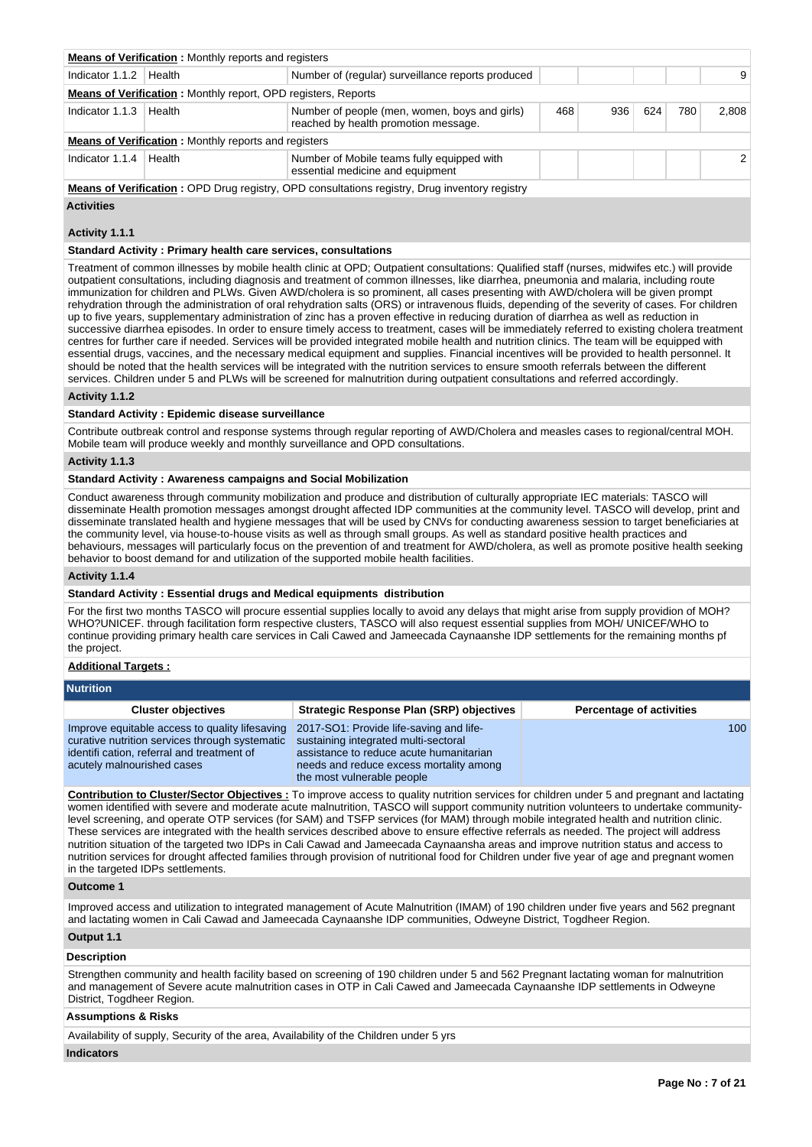|                                                                                                                                                | <b>Means of Verification:</b> Monthly reports and registers |                                                                                |  |  |  |  |  |  |  |  |
|------------------------------------------------------------------------------------------------------------------------------------------------|-------------------------------------------------------------|--------------------------------------------------------------------------------|--|--|--|--|--|--|--|--|
| Indicator 1.1.2<br>Number of (regular) surveillance reports produced<br>Health                                                                 |                                                             |                                                                                |  |  |  |  |  |  |  |  |
| <b>Means of Verification:</b> Monthly report, OPD registers, Reports                                                                           |                                                             |                                                                                |  |  |  |  |  |  |  |  |
| Indicator 1.1.3<br>Number of people (men, women, boys and girls)<br>468<br>624<br>780<br>936<br>Health<br>reached by health promotion message. |                                                             |                                                                                |  |  |  |  |  |  |  |  |
|                                                                                                                                                | <b>Means of Verification:</b> Monthly reports and registers |                                                                                |  |  |  |  |  |  |  |  |
| Indicator 1.1.4                                                                                                                                | Health                                                      | Number of Mobile teams fully equipped with<br>essential medicine and equipment |  |  |  |  |  |  |  |  |
|                                                                                                                                                |                                                             |                                                                                |  |  |  |  |  |  |  |  |

**Means of Verification : OPD Drug registry, OPD consultations registry, Drug inventory registry** 

## **Activities**

# **Activity 1.1.1**

**Standard Activity : Primary health care services, consultations**

Treatment of common illnesses by mobile health clinic at OPD; Outpatient consultations: Qualified staff (nurses, midwifes etc.) will provide outpatient consultations, including diagnosis and treatment of common illnesses, like diarrhea, pneumonia and malaria, including route immunization for children and PLWs. Given AWD/cholera is so prominent, all cases presenting with AWD/cholera will be given prompt rehydration through the administration of oral rehydration salts (ORS) or intravenous fluids, depending of the severity of cases. For children up to five years, supplementary administration of zinc has a proven effective in reducing duration of diarrhea as well as reduction in successive diarrhea episodes. In order to ensure timely access to treatment, cases will be immediately referred to existing cholera treatment centres for further care if needed. Services will be provided integrated mobile health and nutrition clinics. The team will be equipped with essential drugs, vaccines, and the necessary medical equipment and supplies. Financial incentives will be provided to health personnel. It should be noted that the health services will be integrated with the nutrition services to ensure smooth referrals between the different services. Children under 5 and PLWs will be screened for malnutrition during outpatient consultations and referred accordingly.

#### **Activity 1.1.2**

# **Standard Activity : Epidemic disease surveillance**

Contribute outbreak control and response systems through regular reporting of AWD/Cholera and measles cases to regional/central MOH. Mobile team will produce weekly and monthly surveillance and OPD consultations.

## **Activity 1.1.3**

# **Standard Activity : Awareness campaigns and Social Mobilization**

Conduct awareness through community mobilization and produce and distribution of culturally appropriate IEC materials: TASCO will disseminate Health promotion messages amongst drought affected IDP communities at the community level. TASCO will develop, print and disseminate translated health and hygiene messages that will be used by CNVs for conducting awareness session to target beneficiaries at the community level, via house-to-house visits as well as through small groups. As well as standard positive health practices and behaviours, messages will particularly focus on the prevention of and treatment for AWD/cholera, as well as promote positive health seeking behavior to boost demand for and utilization of the supported mobile health facilities.

## **Activity 1.1.4**

# **Standard Activity : Essential drugs and Medical equipments distribution**

For the first two months TASCO will procure essential supplies locally to avoid any delays that might arise from supply providion of MOH? WHO?UNICEF. through facilitation form respective clusters, TASCO will also request essential supplies from MOH/ UNICEF/WHO to continue providing primary health care services in Cali Cawed and Jameecada Caynaanshe IDP settlements for the remaining months pf the project.

## **Additional Targets :**

## **Nutrition**

| <b>Cluster objectives</b>                                                                                                                                                    | <b>Strategic Response Plan (SRP) objectives</b>                                                                                                                                                     | <b>Percentage of activities</b> |
|------------------------------------------------------------------------------------------------------------------------------------------------------------------------------|-----------------------------------------------------------------------------------------------------------------------------------------------------------------------------------------------------|---------------------------------|
| Improve equitable access to quality lifesaving<br>curative nutrition services through systematic<br>identifi cation, referral and treatment of<br>acutely malnourished cases | 2017-SO1: Provide life-saving and life-<br>sustaining integrated multi-sectoral<br>assistance to reduce acute humanitarian<br>needs and reduce excess mortality among<br>the most vulnerable people | 100                             |
|                                                                                                                                                                              | <b>Contribution to Cluster/Sector Objectives:</b> To improve access to quality nutrition services for children under 5 and pregnant and lactating                                                   |                                 |

women identified with severe and moderate acute malnutrition, TASCO will support community nutrition volunteers to undertake communitylevel screening, and operate OTP services (for SAM) and TSFP services (for MAM) through mobile integrated health and nutrition clinic. These services are integrated with the health services described above to ensure effective referrals as needed. The project will address nutrition situation of the targeted two IDPs in Cali Cawad and Jameecada Caynaansha areas and improve nutrition status and access to nutrition services for drought affected families through provision of nutritional food for Children under five year of age and pregnant women in the targeted IDPs settlements.

## **Outcome 1**

Improved access and utilization to integrated management of Acute Malnutrition (IMAM) of 190 children under five years and 562 pregnant and lactating women in Cali Cawad and Jameecada Caynaanshe IDP communities, Odweyne District, Togdheer Region.

## **Output 1.1**

## **Description**

Strengthen community and health facility based on screening of 190 children under 5 and 562 Pregnant lactating woman for malnutrition and management of Severe acute malnutrition cases in OTP in Cali Cawed and Jameecada Caynaanshe IDP settlements in Odweyne District, Togdheer Region.

#### **Assumptions & Risks**

Availability of supply, Security of the area, Availability of the Children under 5 yrs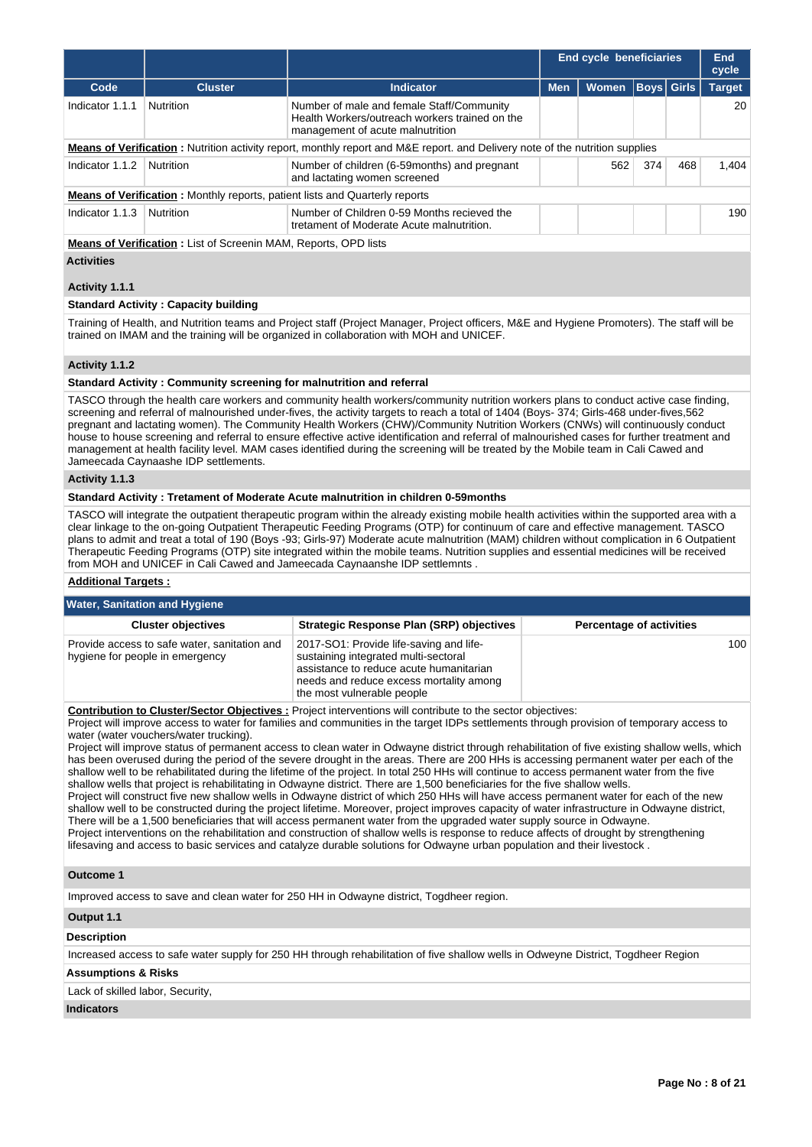|                                                                                                                                                                                                                                                                                                                                                                                                                                                                                                                                                                                                                                                                                                                                                                                                                                                                                                                                                                                                                                                                                                                                                                                                                                                                                                                                                                                                                                                                                                                                                                                               |                                                                                    |                                                                                                                                                                                                                                                                                                                                                                                                                                                                                                                                                                                                                                                                                                           | <b>End cycle beneficiaries</b> |                                 | End<br>cycle |              |               |  |  |
|-----------------------------------------------------------------------------------------------------------------------------------------------------------------------------------------------------------------------------------------------------------------------------------------------------------------------------------------------------------------------------------------------------------------------------------------------------------------------------------------------------------------------------------------------------------------------------------------------------------------------------------------------------------------------------------------------------------------------------------------------------------------------------------------------------------------------------------------------------------------------------------------------------------------------------------------------------------------------------------------------------------------------------------------------------------------------------------------------------------------------------------------------------------------------------------------------------------------------------------------------------------------------------------------------------------------------------------------------------------------------------------------------------------------------------------------------------------------------------------------------------------------------------------------------------------------------------------------------|------------------------------------------------------------------------------------|-----------------------------------------------------------------------------------------------------------------------------------------------------------------------------------------------------------------------------------------------------------------------------------------------------------------------------------------------------------------------------------------------------------------------------------------------------------------------------------------------------------------------------------------------------------------------------------------------------------------------------------------------------------------------------------------------------------|--------------------------------|---------------------------------|--------------|--------------|---------------|--|--|
| Code                                                                                                                                                                                                                                                                                                                                                                                                                                                                                                                                                                                                                                                                                                                                                                                                                                                                                                                                                                                                                                                                                                                                                                                                                                                                                                                                                                                                                                                                                                                                                                                          | <b>Cluster</b>                                                                     | <b>Indicator</b>                                                                                                                                                                                                                                                                                                                                                                                                                                                                                                                                                                                                                                                                                          | <b>Men</b>                     | Women                           | Boys         | <b>Girls</b> | <b>Target</b> |  |  |
| Indicator 1.1.1                                                                                                                                                                                                                                                                                                                                                                                                                                                                                                                                                                                                                                                                                                                                                                                                                                                                                                                                                                                                                                                                                                                                                                                                                                                                                                                                                                                                                                                                                                                                                                               | Nutrition                                                                          | Number of male and female Staff/Community<br>Health Workers/outreach workers trained on the<br>management of acute malnutrition                                                                                                                                                                                                                                                                                                                                                                                                                                                                                                                                                                           |                                |                                 |              |              | 20            |  |  |
|                                                                                                                                                                                                                                                                                                                                                                                                                                                                                                                                                                                                                                                                                                                                                                                                                                                                                                                                                                                                                                                                                                                                                                                                                                                                                                                                                                                                                                                                                                                                                                                               |                                                                                    | Means of Verification: Nutrition activity report, monthly report and M&E report. and Delivery note of the nutrition supplies                                                                                                                                                                                                                                                                                                                                                                                                                                                                                                                                                                              |                                |                                 |              |              |               |  |  |
| Indicator 1.1.2                                                                                                                                                                                                                                                                                                                                                                                                                                                                                                                                                                                                                                                                                                                                                                                                                                                                                                                                                                                                                                                                                                                                                                                                                                                                                                                                                                                                                                                                                                                                                                               | Nutrition                                                                          | Number of children (6-59months) and pregnant<br>and lactating women screened                                                                                                                                                                                                                                                                                                                                                                                                                                                                                                                                                                                                                              |                                | 562                             | 374          | 468          | 1,404         |  |  |
|                                                                                                                                                                                                                                                                                                                                                                                                                                                                                                                                                                                                                                                                                                                                                                                                                                                                                                                                                                                                                                                                                                                                                                                                                                                                                                                                                                                                                                                                                                                                                                                               | <b>Means of Verification:</b> Monthly reports, patient lists and Quarterly reports |                                                                                                                                                                                                                                                                                                                                                                                                                                                                                                                                                                                                                                                                                                           |                                |                                 |              |              |               |  |  |
| Indicator 1.1.3                                                                                                                                                                                                                                                                                                                                                                                                                                                                                                                                                                                                                                                                                                                                                                                                                                                                                                                                                                                                                                                                                                                                                                                                                                                                                                                                                                                                                                                                                                                                                                               | Nutrition                                                                          | Number of Children 0-59 Months recieved the<br>tretament of Moderate Acute malnutrition.                                                                                                                                                                                                                                                                                                                                                                                                                                                                                                                                                                                                                  |                                |                                 |              |              |               |  |  |
|                                                                                                                                                                                                                                                                                                                                                                                                                                                                                                                                                                                                                                                                                                                                                                                                                                                                                                                                                                                                                                                                                                                                                                                                                                                                                                                                                                                                                                                                                                                                                                                               | <b>Means of Verification:</b> List of Screenin MAM, Reports, OPD lists             |                                                                                                                                                                                                                                                                                                                                                                                                                                                                                                                                                                                                                                                                                                           |                                |                                 |              |              |               |  |  |
| <b>Activities</b>                                                                                                                                                                                                                                                                                                                                                                                                                                                                                                                                                                                                                                                                                                                                                                                                                                                                                                                                                                                                                                                                                                                                                                                                                                                                                                                                                                                                                                                                                                                                                                             |                                                                                    |                                                                                                                                                                                                                                                                                                                                                                                                                                                                                                                                                                                                                                                                                                           |                                |                                 |              |              |               |  |  |
| Activity 1.1.1                                                                                                                                                                                                                                                                                                                                                                                                                                                                                                                                                                                                                                                                                                                                                                                                                                                                                                                                                                                                                                                                                                                                                                                                                                                                                                                                                                                                                                                                                                                                                                                |                                                                                    |                                                                                                                                                                                                                                                                                                                                                                                                                                                                                                                                                                                                                                                                                                           |                                |                                 |              |              |               |  |  |
|                                                                                                                                                                                                                                                                                                                                                                                                                                                                                                                                                                                                                                                                                                                                                                                                                                                                                                                                                                                                                                                                                                                                                                                                                                                                                                                                                                                                                                                                                                                                                                                               | <b>Standard Activity: Capacity building</b>                                        |                                                                                                                                                                                                                                                                                                                                                                                                                                                                                                                                                                                                                                                                                                           |                                |                                 |              |              |               |  |  |
| Training of Health, and Nutrition teams and Project staff (Project Manager, Project officers, M&E and Hygiene Promoters). The staff will be<br>trained on IMAM and the training will be organized in collaboration with MOH and UNICEF.                                                                                                                                                                                                                                                                                                                                                                                                                                                                                                                                                                                                                                                                                                                                                                                                                                                                                                                                                                                                                                                                                                                                                                                                                                                                                                                                                       |                                                                                    |                                                                                                                                                                                                                                                                                                                                                                                                                                                                                                                                                                                                                                                                                                           |                                |                                 |              |              |               |  |  |
| Activity 1.1.2                                                                                                                                                                                                                                                                                                                                                                                                                                                                                                                                                                                                                                                                                                                                                                                                                                                                                                                                                                                                                                                                                                                                                                                                                                                                                                                                                                                                                                                                                                                                                                                |                                                                                    |                                                                                                                                                                                                                                                                                                                                                                                                                                                                                                                                                                                                                                                                                                           |                                |                                 |              |              |               |  |  |
|                                                                                                                                                                                                                                                                                                                                                                                                                                                                                                                                                                                                                                                                                                                                                                                                                                                                                                                                                                                                                                                                                                                                                                                                                                                                                                                                                                                                                                                                                                                                                                                               | Standard Activity: Community screening for malnutrition and referral               |                                                                                                                                                                                                                                                                                                                                                                                                                                                                                                                                                                                                                                                                                                           |                                |                                 |              |              |               |  |  |
|                                                                                                                                                                                                                                                                                                                                                                                                                                                                                                                                                                                                                                                                                                                                                                                                                                                                                                                                                                                                                                                                                                                                                                                                                                                                                                                                                                                                                                                                                                                                                                                               | Jameecada Caynaashe IDP settlements.                                               | TASCO through the health care workers and community health workers/community nutrition workers plans to conduct active case finding,<br>screening and referral of malnourished under-fives, the activity targets to reach a total of 1404 (Boys- 374; Girls-468 under-fives, 562<br>pregnant and lactating women). The Community Health Workers (CHW)/Community Nutrition Workers (CNWs) will continuously conduct<br>house to house screening and referral to ensure effective active identification and referral of malnourished cases for further treatment and<br>management at health facility level. MAM cases identified during the screening will be treated by the Mobile team in Cali Cawed and |                                |                                 |              |              |               |  |  |
| Activity 1.1.3                                                                                                                                                                                                                                                                                                                                                                                                                                                                                                                                                                                                                                                                                                                                                                                                                                                                                                                                                                                                                                                                                                                                                                                                                                                                                                                                                                                                                                                                                                                                                                                |                                                                                    |                                                                                                                                                                                                                                                                                                                                                                                                                                                                                                                                                                                                                                                                                                           |                                |                                 |              |              |               |  |  |
|                                                                                                                                                                                                                                                                                                                                                                                                                                                                                                                                                                                                                                                                                                                                                                                                                                                                                                                                                                                                                                                                                                                                                                                                                                                                                                                                                                                                                                                                                                                                                                                               |                                                                                    | Standard Activity : Tretament of Moderate Acute malnutrition in children 0-59months                                                                                                                                                                                                                                                                                                                                                                                                                                                                                                                                                                                                                       |                                |                                 |              |              |               |  |  |
|                                                                                                                                                                                                                                                                                                                                                                                                                                                                                                                                                                                                                                                                                                                                                                                                                                                                                                                                                                                                                                                                                                                                                                                                                                                                                                                                                                                                                                                                                                                                                                                               |                                                                                    | TASCO will integrate the outpatient therapeutic program within the already existing mobile health activities within the supported area with a<br>clear linkage to the on-going Outpatient Therapeutic Feeding Programs (OTP) for continuum of care and effective management. TASCO<br>plans to admit and treat a total of 190 (Boys -93; Girls-97) Moderate acute malnutrition (MAM) children without complication in 6 Outpatient<br>Therapeutic Feeding Programs (OTP) site integrated within the mobile teams. Nutrition supplies and essential medicines will be received<br>from MOH and UNICEF in Cali Cawed and Jameecada Caynaanshe IDP settlemnts.                                               |                                |                                 |              |              |               |  |  |
| <b>Additional Targets:</b>                                                                                                                                                                                                                                                                                                                                                                                                                                                                                                                                                                                                                                                                                                                                                                                                                                                                                                                                                                                                                                                                                                                                                                                                                                                                                                                                                                                                                                                                                                                                                                    |                                                                                    |                                                                                                                                                                                                                                                                                                                                                                                                                                                                                                                                                                                                                                                                                                           |                                |                                 |              |              |               |  |  |
|                                                                                                                                                                                                                                                                                                                                                                                                                                                                                                                                                                                                                                                                                                                                                                                                                                                                                                                                                                                                                                                                                                                                                                                                                                                                                                                                                                                                                                                                                                                                                                                               | <b>Water, Sanitation and Hygiene</b>                                               |                                                                                                                                                                                                                                                                                                                                                                                                                                                                                                                                                                                                                                                                                                           |                                |                                 |              |              |               |  |  |
|                                                                                                                                                                                                                                                                                                                                                                                                                                                                                                                                                                                                                                                                                                                                                                                                                                                                                                                                                                                                                                                                                                                                                                                                                                                                                                                                                                                                                                                                                                                                                                                               | <b>Cluster objectives</b>                                                          | Strategic Response Plan (SRP) objectives                                                                                                                                                                                                                                                                                                                                                                                                                                                                                                                                                                                                                                                                  |                                | <b>Percentage of activities</b> |              |              |               |  |  |
|                                                                                                                                                                                                                                                                                                                                                                                                                                                                                                                                                                                                                                                                                                                                                                                                                                                                                                                                                                                                                                                                                                                                                                                                                                                                                                                                                                                                                                                                                                                                                                                               | Provide access to safe water, sanitation and<br>hygiene for people in emergency    | 2017-SO1: Provide life-saving and life-<br>sustaining integrated multi-sectoral<br>assistance to reduce acute humanitarian<br>needs and reduce excess mortality among<br>the most vulnerable people                                                                                                                                                                                                                                                                                                                                                                                                                                                                                                       |                                |                                 |              |              | 100           |  |  |
| Contribution to Cluster/Sector Objectives : Project interventions will contribute to the sector objectives:<br>Project will improve access to water for families and communities in the target IDPs settlements through provision of temporary access to<br>water (water vouchers/water trucking).<br>Project will improve status of permanent access to clean water in Odwayne district through rehabilitation of five existing shallow wells, which<br>has been overused during the period of the severe drought in the areas. There are 200 HHs is accessing permanent water per each of the<br>shallow well to be rehabilitated during the lifetime of the project. In total 250 HHs will continue to access permanent water from the five<br>shallow wells that project is rehabilitating in Odwayne district. There are 1,500 beneficiaries for the five shallow wells.<br>Project will construct five new shallow wells in Odwayne district of which 250 HHs will have access permanent water for each of the new<br>shallow well to be constructed during the project lifetime. Moreover, project improves capacity of water infrastructure in Odwayne district,<br>There will be a 1,500 beneficiaries that will access permanent water from the upgraded water supply source in Odwayne.<br>Project interventions on the rehabilitation and construction of shallow wells is response to reduce affects of drought by strengthening<br>lifesaving and access to basic services and catalyze durable solutions for Odwayne urban population and their livestock.<br><b>Outcome 1</b> |                                                                                    |                                                                                                                                                                                                                                                                                                                                                                                                                                                                                                                                                                                                                                                                                                           |                                |                                 |              |              |               |  |  |
|                                                                                                                                                                                                                                                                                                                                                                                                                                                                                                                                                                                                                                                                                                                                                                                                                                                                                                                                                                                                                                                                                                                                                                                                                                                                                                                                                                                                                                                                                                                                                                                               |                                                                                    | Improved access to save and clean water for 250 HH in Odwayne district, Togdheer region.                                                                                                                                                                                                                                                                                                                                                                                                                                                                                                                                                                                                                  |                                |                                 |              |              |               |  |  |
| Output 1.1                                                                                                                                                                                                                                                                                                                                                                                                                                                                                                                                                                                                                                                                                                                                                                                                                                                                                                                                                                                                                                                                                                                                                                                                                                                                                                                                                                                                                                                                                                                                                                                    |                                                                                    |                                                                                                                                                                                                                                                                                                                                                                                                                                                                                                                                                                                                                                                                                                           |                                |                                 |              |              |               |  |  |
| <b>Description</b>                                                                                                                                                                                                                                                                                                                                                                                                                                                                                                                                                                                                                                                                                                                                                                                                                                                                                                                                                                                                                                                                                                                                                                                                                                                                                                                                                                                                                                                                                                                                                                            |                                                                                    |                                                                                                                                                                                                                                                                                                                                                                                                                                                                                                                                                                                                                                                                                                           |                                |                                 |              |              |               |  |  |

Increased access to safe water supply for 250 HH through rehabilitation of five shallow wells in Odweyne District, Togdheer Region

# **Assumptions & Risks**

Lack of skilled labor, Security,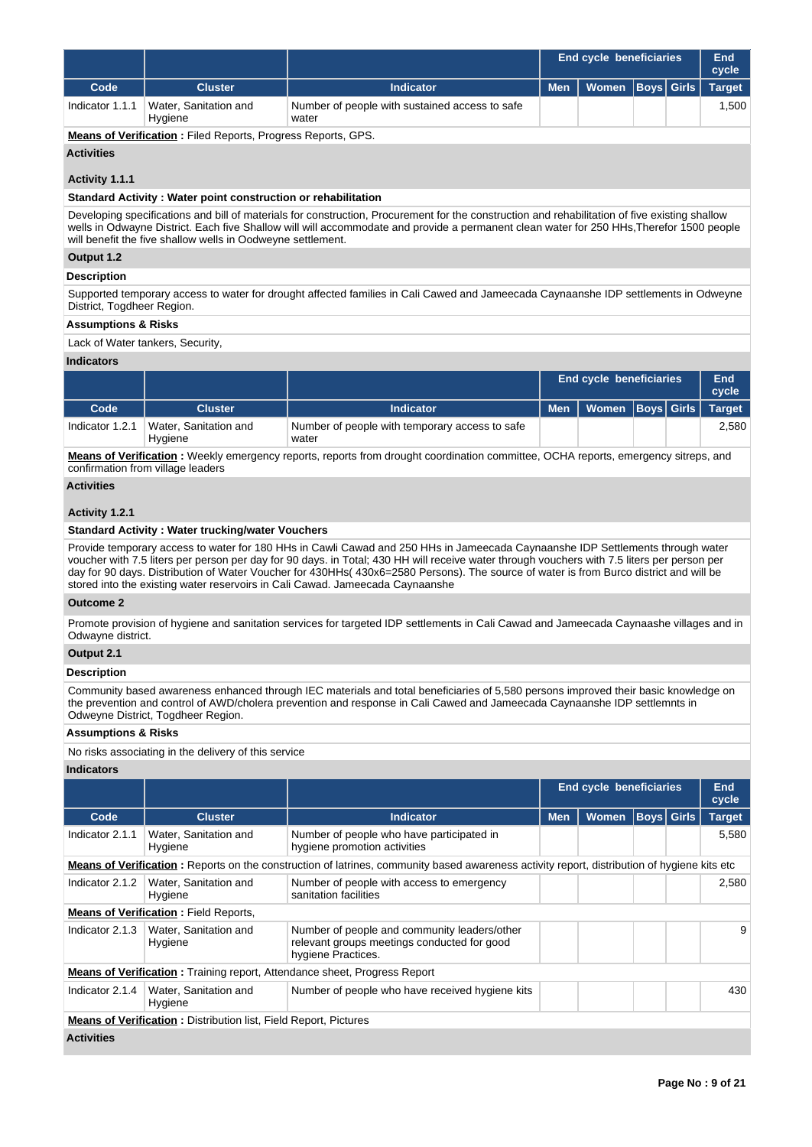|                 |                                  |                                                         |            | <b>End cycle beneficiaries</b> |  | End<br>cycle  |
|-----------------|----------------------------------|---------------------------------------------------------|------------|--------------------------------|--|---------------|
| Code            | <b>Cluster</b>                   | <b>Indicator</b>                                        | <b>Men</b> | Women   Boys   Girls           |  | <b>Target</b> |
| Indicator 1.1.1 | Water, Sanitation and<br>Hygiene | Number of people with sustained access to safe<br>water |            |                                |  | 1.500         |

**Means of Verification :** Filed Reports, Progress Reports, GPS.

# **Activities**

# **Activity 1.1.1**

## **Standard Activity : Water point construction or rehabilitation**

Developing specifications and bill of materials for construction, Procurement for the construction and rehabilitation of five existing shallow wells in Odwayne District. Each five Shallow will will accommodate and provide a permanent clean water for 250 HHs,Therefor 1500 people will benefit the five shallow wells in Oodweyne settlement.

## **Output 1.2**

# **Description**

Supported temporary access to water for drought affected families in Cali Cawed and Jameecada Caynaanshe IDP settlements in Odweyne District, Togdheer Region.

## **Assumptions & Risks**

Lack of Water tankers, Security,

## **Indicators**

|                 |                                  |                                                         | <b>End cycle beneficiaries</b>      |  | End<br>cycle |
|-----------------|----------------------------------|---------------------------------------------------------|-------------------------------------|--|--------------|
| Code            | <b>Cluster</b>                   | <b>Indicator</b>                                        | Men   Women   Boys   Girls   Target |  |              |
| Indicator 1.2.1 | Water, Sanitation and<br>Hygiene | Number of people with temporary access to safe<br>water |                                     |  | 2.580        |

**Means of Verification :** Weekly emergency reports, reports from drought coordination committee, OCHA reports, emergency sitreps, and confirmation from village leaders

# **Activities**

# **Activity 1.2.1**

## **Standard Activity : Water trucking/water Vouchers**

Provide temporary access to water for 180 HHs in Cawli Cawad and 250 HHs in Jameecada Caynaanshe IDP Settlements through water voucher with 7.5 liters per person per day for 90 days. in Total; 430 HH will receive water through vouchers with 7.5 liters per person per day for 90 days. Distribution of Water Voucher for 430HHs( 430x6=2580 Persons). The source of water is from Burco district and will be stored into the existing water reservoirs in Cali Cawad. Jameecada Caynaanshe

## **Outcome 2**

Promote provision of hygiene and sanitation services for targeted IDP settlements in Cali Cawad and Jameecada Caynaashe villages and in Odwayne district.

# **Output 2.1**

# **Description**

Community based awareness enhanced through IEC materials and total beneficiaries of 5,580 persons improved their basic knowledge on the prevention and control of AWD/cholera prevention and response in Cali Cawed and Jameecada Caynaanshe IDP settlemnts in Odweyne District, Togdheer Region.

## **Assumptions & Risks**

No risks associating in the delivery of this service

|                   |                                                                         |                                                                                                                                             |            | <b>End cycle beneficiaries</b> |                   | <b>End</b><br>cycle |
|-------------------|-------------------------------------------------------------------------|---------------------------------------------------------------------------------------------------------------------------------------------|------------|--------------------------------|-------------------|---------------------|
| Code              | <b>Cluster</b>                                                          | <b>Indicator</b>                                                                                                                            | <b>Men</b> | Women                          | <b>Boys</b> Girls | <b>Target</b>       |
| Indicator 2.1.1   | Water, Sanitation and<br>Hygiene                                        | Number of people who have participated in<br>hygiene promotion activities                                                                   |            |                                |                   | 5,580               |
|                   |                                                                         | Means of Verification: Reports on the construction of latrines, community based awareness activity report, distribution of hygiene kits etc |            |                                |                   |                     |
| Indicator 2.1.2   | Water, Sanitation and<br>Hygiene                                        | Number of people with access to emergency<br>sanitation facilities                                                                          |            |                                |                   | 2,580               |
|                   | <b>Means of Verification:</b> Field Reports,                            |                                                                                                                                             |            |                                |                   |                     |
| Indicator 2.1.3   | Water, Sanitation and<br>Hygiene                                        | Number of people and community leaders/other<br>relevant groups meetings conducted for good<br>hygiene Practices.                           |            |                                |                   | 9                   |
|                   |                                                                         | <b>Means of Verification:</b> Training report, Attendance sheet, Progress Report                                                            |            |                                |                   |                     |
| Indicator 2.1.4   | Water, Sanitation and<br>Hygiene                                        | Number of people who have received hygiene kits                                                                                             |            |                                |                   | 430                 |
|                   | <b>Means of Verification:</b> Distribution list, Field Report, Pictures |                                                                                                                                             |            |                                |                   |                     |
| <b>Activities</b> |                                                                         |                                                                                                                                             |            |                                |                   |                     |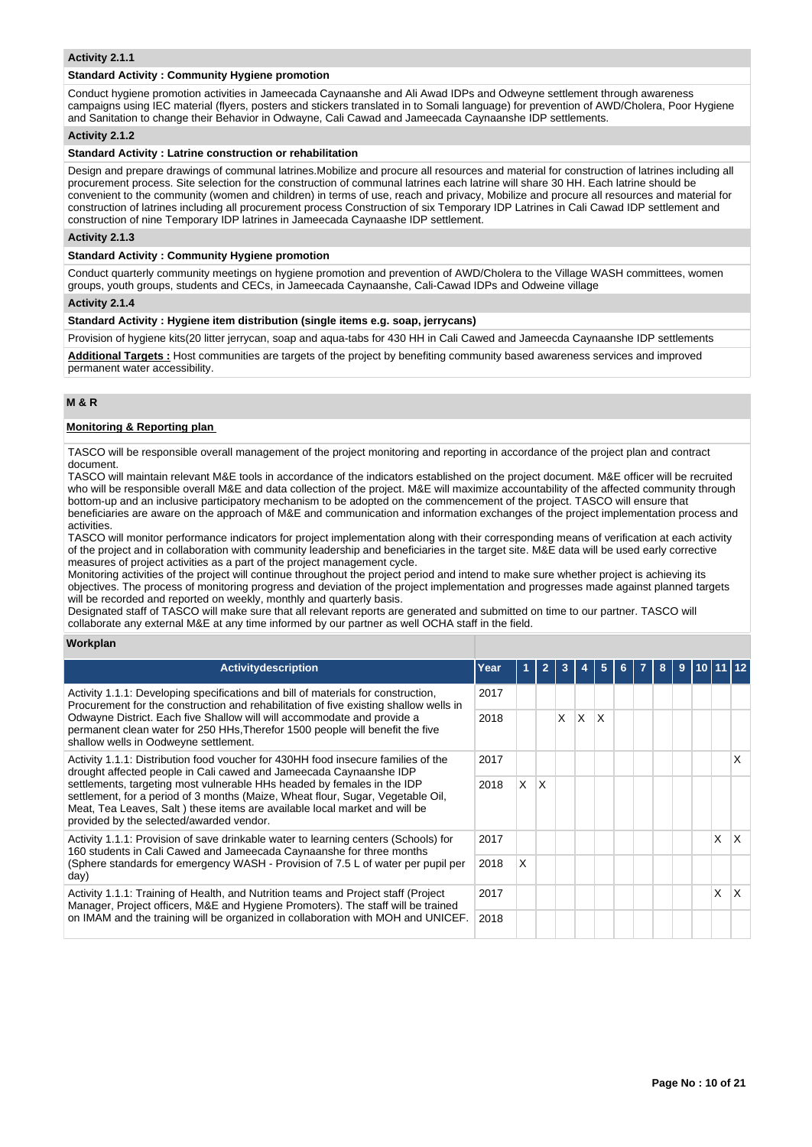## **Activity 2.1.1**

## **Standard Activity : Community Hygiene promotion**

Conduct hygiene promotion activities in Jameecada Caynaanshe and Ali Awad IDPs and Odweyne settlement through awareness campaigns using IEC material (flyers, posters and stickers translated in to Somali language) for prevention of AWD/Cholera, Poor Hygiene and Sanitation to change their Behavior in Odwayne, Cali Cawad and Jameecada Caynaanshe IDP settlements.

## **Activity 2.1.2**

#### **Standard Activity : Latrine construction or rehabilitation**

Design and prepare drawings of communal latrines.Mobilize and procure all resources and material for construction of latrines including all procurement process. Site selection for the construction of communal latrines each latrine will share 30 HH. Each latrine should be convenient to the community (women and children) in terms of use, reach and privacy, Mobilize and procure all resources and material for construction of latrines including all procurement process Construction of six Temporary IDP Latrines in Cali Cawad IDP settlement and construction of nine Temporary IDP latrines in Jameecada Caynaashe IDP settlement.

### **Activity 2.1.3**

## **Standard Activity : Community Hygiene promotion**

Conduct quarterly community meetings on hygiene promotion and prevention of AWD/Cholera to the Village WASH committees, women groups, youth groups, students and CECs, in Jameecada Caynaanshe, Cali-Cawad IDPs and Odweine village

#### **Activity 2.1.4**

# **Standard Activity : Hygiene item distribution (single items e.g. soap, jerrycans)**

Provision of hygiene kits(20 litter jerrycan, soap and aqua-tabs for 430 HH in Cali Cawed and Jameecda Caynaanshe IDP settlements

**Additional Targets :** Host communities are targets of the project by benefiting community based awareness services and improved permanent water accessibility.

# **M & R**

## **Monitoring & Reporting plan**

TASCO will be responsible overall management of the project monitoring and reporting in accordance of the project plan and contract document.

TASCO will maintain relevant M&E tools in accordance of the indicators established on the project document. M&E officer will be recruited who will be responsible overall M&E and data collection of the project. M&E will maximize accountability of the affected community through bottom-up and an inclusive participatory mechanism to be adopted on the commencement of the project. TASCO will ensure that beneficiaries are aware on the approach of M&E and communication and information exchanges of the project implementation process and activities.

TASCO will monitor performance indicators for project implementation along with their corresponding means of verification at each activity of the project and in collaboration with community leadership and beneficiaries in the target site. M&E data will be used early corrective measures of project activities as a part of the project management cycle.

Monitoring activities of the project will continue throughout the project period and intend to make sure whether project is achieving its objectives. The process of monitoring progress and deviation of the project implementation and progresses made against planned targets will be recorded and reported on weekly, monthly and quarterly basis.

Designated staff of TASCO will make sure that all relevant reports are generated and submitted on time to our partner. TASCO will collaborate any external M&E at any time informed by our partner as well OCHA staff in the field.

#### **Workplan**

| <b>Activity description</b>                                                                                                                                                                                                                                                           | Year |          | $\overline{2}$ |   |     |   |  | 9 |   |    |
|---------------------------------------------------------------------------------------------------------------------------------------------------------------------------------------------------------------------------------------------------------------------------------------|------|----------|----------------|---|-----|---|--|---|---|----|
| Activity 1.1.1: Developing specifications and bill of materials for construction.<br>Procurement for the construction and rehabilitation of five existing shallow wells in                                                                                                            | 2017 |          |                |   |     |   |  |   |   |    |
| Odwayne District. Each five Shallow will will accommodate and provide a<br>permanent clean water for 250 HHs, Therefor 1500 people will benefit the five<br>shallow wells in Oodweyne settlement.                                                                                     |      |          |                | X | ΙX. | X |  |   |   |    |
| Activity 1.1.1: Distribution food voucher for 430HH food insecure families of the<br>drought affected people in Cali cawed and Jameecada Caynaanshe IDP                                                                                                                               | 2017 |          |                |   |     |   |  |   |   | х  |
| settlements, targeting most vulnerable HHs headed by females in the IDP<br>settlement, for a period of 3 months (Maize, Wheat flour, Sugar, Vegetable Oil,<br>Meat, Tea Leaves, Salt ) these items are available local market and will be<br>provided by the selected/awarded vendor. | 2018 | $\times$ | ΙX.            |   |     |   |  |   |   |    |
| Activity 1.1.1: Provision of save drinkable water to learning centers (Schools) for<br>160 students in Cali Cawed and Jameecada Caynaanshe for three months                                                                                                                           | 2017 |          |                |   |     |   |  |   | X | ΙX |
| (Sphere standards for emergency WASH - Provision of 7.5 L of water per pupil per<br>day)                                                                                                                                                                                              | 2018 | X        |                |   |     |   |  |   |   |    |
| Activity 1.1.1: Training of Health, and Nutrition teams and Project staff (Project<br>Manager, Project officers, M&E and Hygiene Promoters). The staff will be trained                                                                                                                | 2017 |          |                |   |     |   |  |   | X | ΙX |
| on IMAM and the training will be organized in collaboration with MOH and UNICEF.                                                                                                                                                                                                      |      |          |                |   |     |   |  |   |   |    |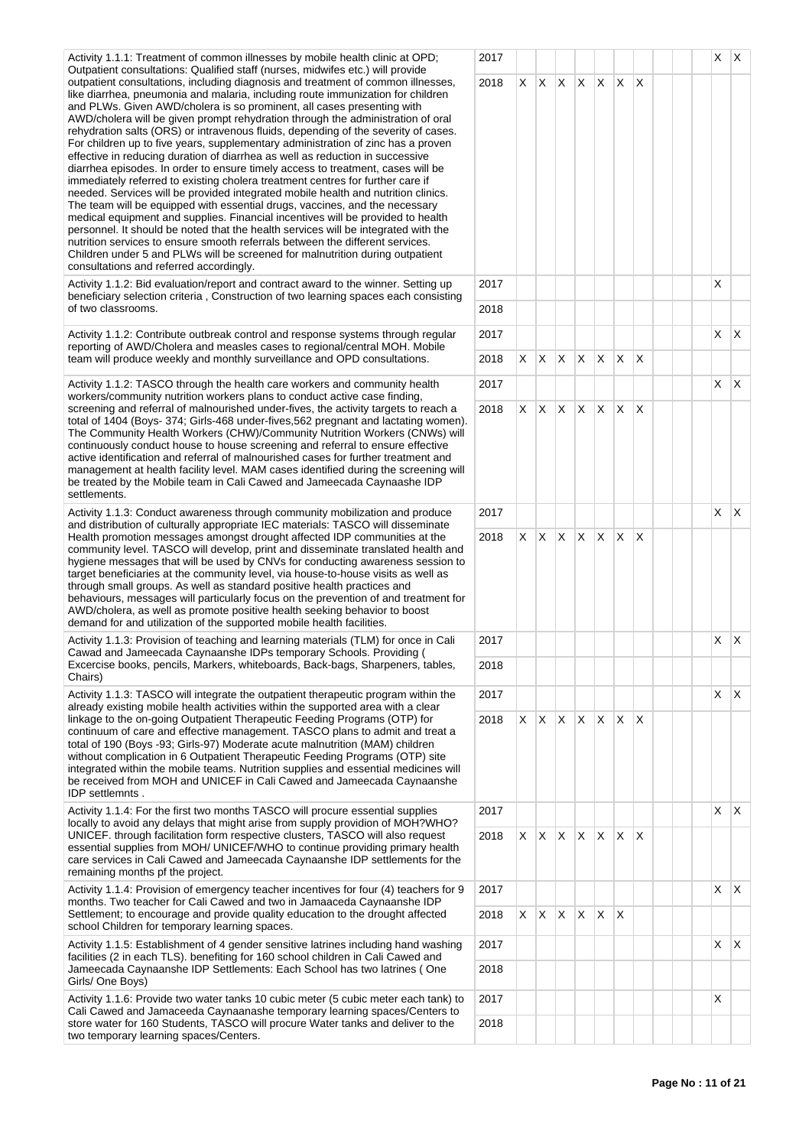Activity 1.1.1: Treatment of common illnesses by mobile health clinic at OPD; Outpatient consultations: Qualified staff (nurses, midwifes etc.) will provide outpatient consultations, including diagnosis and treatment of common illnesses, like diarrhea, pneumonia and malaria, including route immunization for children and PLWs. Given AWD/cholera is so prominent, all cases presenting with AWD/cholera will be given prompt rehydration through the administration of oral rehydration salts (ORS) or intravenous fluids, depending of the severity of cases. For children up to five years, supplementary administration of zinc has a proven effective in reducing duration of diarrhea as well as reduction in successive diarrhea episodes. In order to ensure timely access to treatment, cases will be immediately referred to existing cholera treatment centres for further care if needed. Services will be provided integrated mobile health and nutrition clinics. The team will be equipped with essential drugs, vaccines, and the necessary medical equipment and supplies. Financial incentives will be provided to health personnel. It should be noted that the health services will be integrated with the nutrition services to ensure smooth referrals between the different services. Children under 5 and PLWs will be screened for malnutrition during outpatient consultations and referred accordingly.

Activity 1.1.2: Bid evaluation/report and contract award to the winner. Setting up beneficiary selection criteria , Construction of two learning spaces each consisting of two classrooms.

Activity 1.1.2: Contribute outbreak control and response systems through regular reporting of AWD/Cholera and measles cases to regional/central MOH. Mobile team will produce weekly and monthly surveillance and OPD consultations.

Activity 1.1.2: TASCO through the health care workers and community health workers/community nutrition workers plans to conduct active case finding, screening and referral of malnourished under-fives, the activity targets to reach a total of 1404 (Boys- 374; Girls-468 under-fives,562 pregnant and lactating women). The Community Health Workers (CHW)/Community Nutrition Workers (CNWs) will continuously conduct house to house screening and referral to ensure effective active identification and referral of malnourished cases for further treatment and management at health facility level. MAM cases identified during the screening will be treated by the Mobile team in Cali Cawed and Jameecada Caynaashe IDP **settlements** 

Activity 1.1.3: Conduct awareness through community mobilization and produce and distribution of culturally appropriate IEC materials: TASCO will disseminate Health promotion messages amongst drought affected IDP communities at the community level. TASCO will develop, print and disseminate translated health and hygiene messages that will be used by CNVs for conducting awareness session to target beneficiaries at the community level, via house-to-house visits as well as through small groups. As well as standard positive health practices and behaviours, messages will particularly focus on the prevention of and treatment for AWD/cholera, as well as promote positive health seeking behavior to boost demand for and utilization of the supported mobile health facilities.

Activity 1.1.3: Provision of teaching and learning materials (TLM) for once in Cali Cawad and Jameecada Caynaanshe IDPs temporary Schools. Providing ( Excercise books, pencils, Markers, whiteboards, Back-bags, Sharpeners, tables, Chairs)

Activity 1.1.3: TASCO will integrate the outpatient therapeutic program within the already existing mobile health activities within the supported area with a clear linkage to the on-going Outpatient Therapeutic Feeding Programs (OTP) for continuum of care and effective management. TASCO plans to admit and treat a total of 190 (Boys -93; Girls-97) Moderate acute malnutrition (MAM) children without complication in 6 Outpatient Therapeutic Feeding Programs (OTP) site integrated within the mobile teams. Nutrition supplies and essential medicines will be received from MOH and UNICEF in Cali Cawed and Jameecada Caynaanshe IDP settlemnts .

Activity 1.1.4: For the first two months TASCO will procure essential supplies locally to avoid any delays that might arise from supply providion of MOH?WHO? UNICEF. through facilitation form respective clusters, TASCO will also request essential supplies from MOH/ UNICEF/WHO to continue providing primary health care services in Cali Cawed and Jameecada Caynaanshe IDP settlements for the remaining months pf the project.

Activity 1.1.4: Provision of emergency teacher incentives for four (4) teachers for 9 months. Two teacher for Cali Cawed and two in Jamaaceda Caynaanshe IDP Settlement; to encourage and provide quality education to the drought affected school Children for temporary learning spaces.

Activity 1.1.5: Establishment of 4 gender sensitive latrines including hand washing facilities (2 in each TLS). benefiting for 160 school children in Cali Cawed and Jameecada Caynaanshe IDP Settlements: Each School has two latrines ( One Girls/ One Boys)

Activity 1.1.6: Provide two water tanks 10 cubic meter (5 cubic meter each tank) to Cali Cawed and Jamaceeda Caynaanashe temporary learning spaces/Centers to store water for 160 Students, TASCO will procure Water tanks and deliver to the two temporary learning spaces/Centers.

| 2017 |                |   |                |             |              |              |   |  | X | $\mathsf X$  |
|------|----------------|---|----------------|-------------|--------------|--------------|---|--|---|--------------|
| 2018 | $\mathsf{X}^-$ | Χ | $\mathsf{X}^-$ | $\mathsf X$ | X.           | $\mathsf{X}$ | X |  |   |              |
|      |                |   |                |             |              |              |   |  |   |              |
| 2017 |                |   |                |             |              |              |   |  | X |              |
| 2018 |                |   |                |             |              |              |   |  |   |              |
| 2017 |                |   |                |             |              |              |   |  | X | X            |
| 2018 | Χ              | Χ | X              | Χ           | $\mathsf{X}$ | $\mathsf X$  | X |  |   |              |
| 2017 |                |   |                |             |              |              |   |  | X | X            |
| 2018 | X              | X | $\mathsf{X}$   | X           | $\mathsf{X}$ | $\mathsf{X}$ | X |  |   |              |
| 2017 |                |   |                |             |              |              |   |  | X | X            |
| 2018 | X              | X | $\mathsf{X}$   | X           | X            | $\mathsf{X}$ | X |  |   |              |
| 2017 |                |   |                |             |              |              |   |  | X | X            |
| 2018 |                |   |                |             |              |              |   |  |   |              |
| 2017 |                |   |                |             |              |              |   |  | X | $\mathsf X$  |
| 2018 | Χ              | X | $\mathsf{X}$   | X           | $\mathsf{X}$ | $\mathsf X$  | X |  |   |              |
| 2017 |                |   |                |             |              |              |   |  | X | $\mathsf{x}$ |
| 2018 | X              | X | $\mathsf X$    | X           | X            | X            | X |  |   |              |
| 2017 |                |   |                |             |              |              |   |  | X | X            |
| 2018 | X              | X | X              | Χ           | X            | X            |   |  |   |              |
| 2017 |                |   |                |             |              |              |   |  | X | X            |
| 2018 |                |   |                |             |              |              |   |  |   |              |
| 2017 |                |   |                |             |              |              |   |  | X |              |
| 2018 |                |   |                |             |              |              |   |  |   |              |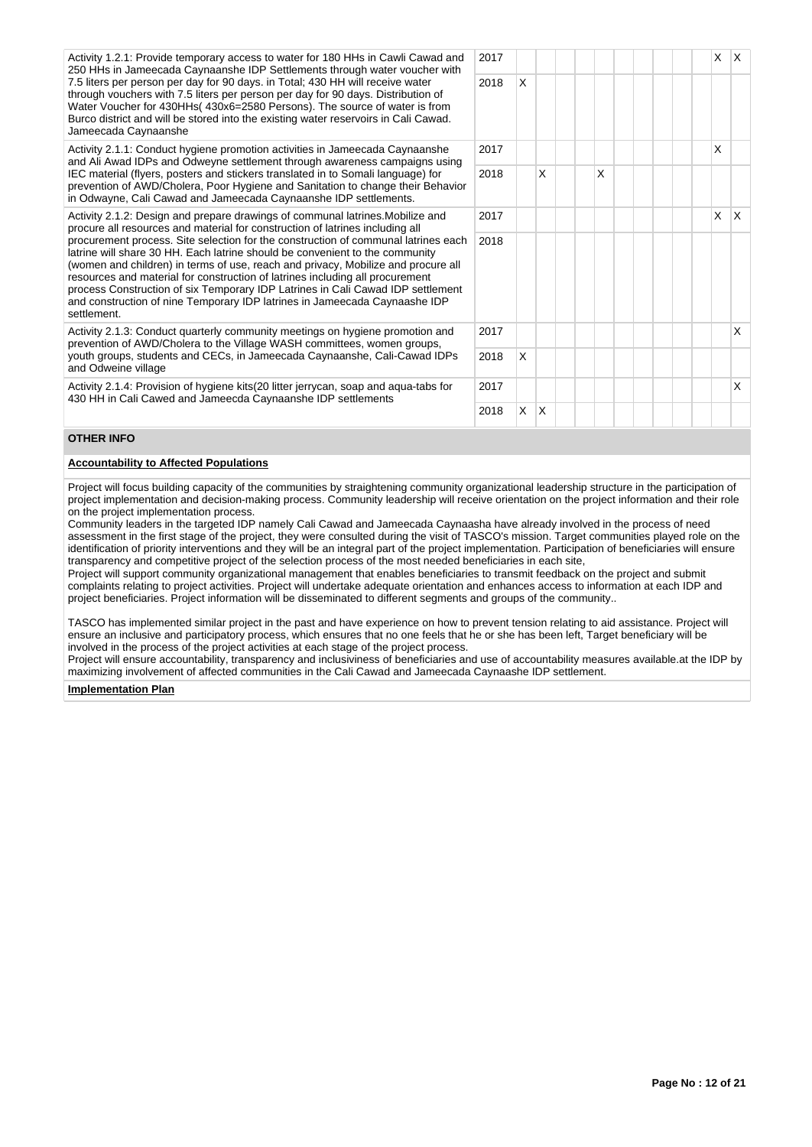| Activity 1.2.1: Provide temporary access to water for 180 HHs in Cawli Cawad and    |  |
|-------------------------------------------------------------------------------------|--|
| 250 HHs in Jameecada Caynaanshe IDP Settlements through water voucher with          |  |
| 7.5 liters per person per day for 90 days. in Total; 430 HH will receive water      |  |
| through vouchers with 7.5 liters per person per day for 90 days. Distribution of    |  |
| Water Voucher for 430HHs (430x6=2580 Persons). The source of water is from          |  |
| Burco district and will be stored into the existing water reservoirs in Cali Cawad. |  |
| Jameecada Caynaanshe                                                                |  |

Activity 2.1.1: Conduct hygiene promotion activities in Jameecada Caynaanshe and Ali Awad IDPs and Odweyne settlement through awareness campaigns using IEC material (flyers, posters and stickers translated in to Somali language) for prevention of AWD/Cholera, Poor Hygiene and Sanitation to change their Behavior in Odwayne, Cali Cawad and Jameecada Caynaanshe IDP settlements.

Activity 2.1.2: Design and prepare drawings of communal latrines.Mobilize and procure all resources and material for construction of latrines including all procurement process. Site selection for the construction of communal latrines each latrine will share 30 HH. Each latrine should be convenient to the community (women and children) in terms of use, reach and privacy, Mobilize and procure all resources and material for construction of latrines including all procurement process Construction of six Temporary IDP Latrines in Cali Cawad IDP settlement and construction of nine Temporary IDP latrines in Jameecada Caynaashe IDP settlement.

Activity 2.1.3: Conduct quarterly community meetings on hygiene promotion and prevention of AWD/Cholera to the Village WASH committees, women groups, youth groups, students and CECs, in Jameecada Caynaanshe, Cali-Cawad IDPs and Odweine village

Activity 2.1.4: Provision of hygiene kits(20 litter jerrycan, soap and aqua-tabs for 430 HH in Cali Cawed and Jameecda Caynaanshe IDP settlements

| 2017 |          |   |  |   |  |  | X | $\mathsf X$ |
|------|----------|---|--|---|--|--|---|-------------|
| 2018 | Χ        |   |  |   |  |  |   |             |
| 2017 |          |   |  |   |  |  | X |             |
| 2018 |          | Χ |  | Χ |  |  |   |             |
| 2017 |          |   |  |   |  |  | X | X           |
| 2018 |          |   |  |   |  |  |   |             |
| 2017 |          |   |  |   |  |  |   | X           |
| 2018 | $\times$ |   |  |   |  |  |   |             |
| 2017 |          |   |  |   |  |  |   | $\mathsf X$ |
| 2018 | Χ        | X |  |   |  |  |   |             |

# **OTHER INFO**

## **Accountability to Affected Populations**

Project will focus building capacity of the communities by straightening community organizational leadership structure in the participation of project implementation and decision-making process. Community leadership will receive orientation on the project information and their role on the project implementation process.

Community leaders in the targeted IDP namely Cali Cawad and Jameecada Caynaasha have already involved in the process of need assessment in the first stage of the project, they were consulted during the visit of TASCO's mission. Target communities played role on the identification of priority interventions and they will be an integral part of the project implementation. Participation of beneficiaries will ensure transparency and competitive project of the selection process of the most needed beneficiaries in each site,

Project will support community organizational management that enables beneficiaries to transmit feedback on the project and submit complaints relating to project activities. Project will undertake adequate orientation and enhances access to information at each IDP and project beneficiaries. Project information will be disseminated to different segments and groups of the community..

TASCO has implemented similar project in the past and have experience on how to prevent tension relating to aid assistance. Project will ensure an inclusive and participatory process, which ensures that no one feels that he or she has been left, Target beneficiary will be involved in the process of the project activities at each stage of the project process.

Project will ensure accountability, transparency and inclusiviness of beneficiaries and use of accountability measures available.at the IDP by maximizing involvement of affected communities in the Cali Cawad and Jameecada Caynaashe IDP settlement.

#### **Implementation Plan**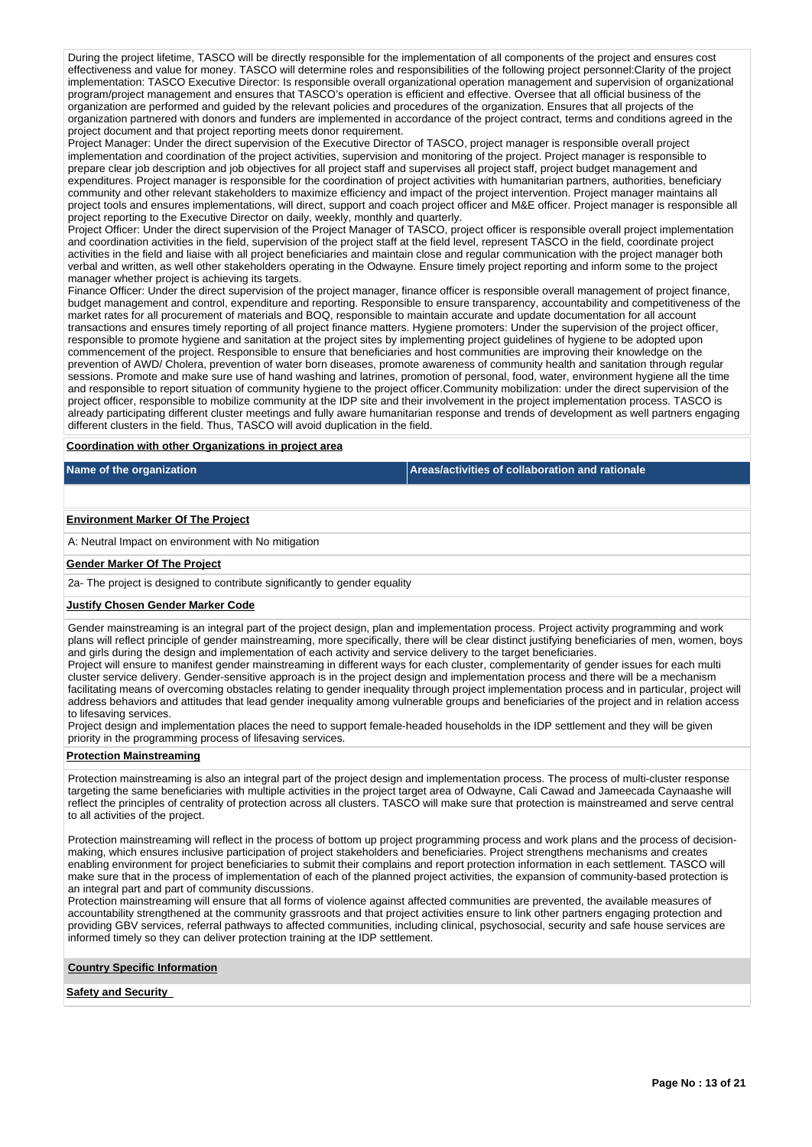During the project lifetime, TASCO will be directly responsible for the implementation of all components of the project and ensures cost effectiveness and value for money. TASCO will determine roles and responsibilities of the following project personnel:Clarity of the project implementation: TASCO Executive Director: Is responsible overall organizational operation management and supervision of organizational program/project management and ensures that TASCO's operation is efficient and effective. Oversee that all official business of the organization are performed and guided by the relevant policies and procedures of the organization. Ensures that all projects of the organization partnered with donors and funders are implemented in accordance of the project contract, terms and conditions agreed in the project document and that project reporting meets donor requirement.

Project Manager: Under the direct supervision of the Executive Director of TASCO, project manager is responsible overall project implementation and coordination of the project activities, supervision and monitoring of the project. Project manager is responsible to prepare clear job description and job objectives for all project staff and supervises all project staff, project budget management and expenditures. Project manager is responsible for the coordination of project activities with humanitarian partners, authorities, beneficiary community and other relevant stakeholders to maximize efficiency and impact of the project intervention. Project manager maintains all project tools and ensures implementations, will direct, support and coach project officer and M&E officer. Project manager is responsible all project reporting to the Executive Director on daily, weekly, monthly and quarterly.

Project Officer: Under the direct supervision of the Project Manager of TASCO, project officer is responsible overall project implementation and coordination activities in the field, supervision of the project staff at the field level, represent TASCO in the field, coordinate project activities in the field and liaise with all project beneficiaries and maintain close and regular communication with the project manager both verbal and written, as well other stakeholders operating in the Odwayne. Ensure timely project reporting and inform some to the project manager whether project is achieving its targets.

Finance Officer: Under the direct supervision of the project manager, finance officer is responsible overall management of project finance, budget management and control, expenditure and reporting. Responsible to ensure transparency, accountability and competitiveness of the market rates for all procurement of materials and BOQ, responsible to maintain accurate and update documentation for all account transactions and ensures timely reporting of all project finance matters. Hygiene promoters: Under the supervision of the project officer, responsible to promote hygiene and sanitation at the project sites by implementing project guidelines of hygiene to be adopted upon commencement of the project. Responsible to ensure that beneficiaries and host communities are improving their knowledge on the prevention of AWD/ Cholera, prevention of water born diseases, promote awareness of community health and sanitation through regular sessions. Promote and make sure use of hand washing and latrines, promotion of personal, food, water, environment hygiene all the time and responsible to report situation of community hygiene to the project officer.Community mobilization: under the direct supervision of the project officer, responsible to mobilize community at the IDP site and their involvement in the project implementation process. TASCO is already participating different cluster meetings and fully aware humanitarian response and trends of development as well partners engaging different clusters in the field. Thus, TASCO will avoid duplication in the field.

## **Coordination with other Organizations in project area**

**Name of the organization Areas/activities of collaboration and rationale** 

### **Environment Marker Of The Project**

A: Neutral Impact on environment with No mitigation

## **Gender Marker Of The Project**

2a- The project is designed to contribute significantly to gender equality

#### **Justify Chosen Gender Marker Code**

Gender mainstreaming is an integral part of the project design, plan and implementation process. Project activity programming and work plans will reflect principle of gender mainstreaming, more specifically, there will be clear distinct justifying beneficiaries of men, women, boys and girls during the design and implementation of each activity and service delivery to the target beneficiaries.

Project will ensure to manifest gender mainstreaming in different ways for each cluster, complementarity of gender issues for each multi cluster service delivery. Gender-sensitive approach is in the project design and implementation process and there will be a mechanism facilitating means of overcoming obstacles relating to gender inequality through project implementation process and in particular, project will address behaviors and attitudes that lead gender inequality among vulnerable groups and beneficiaries of the project and in relation access to lifesaving services.

Project design and implementation places the need to support female-headed households in the IDP settlement and they will be given priority in the programming process of lifesaving services.

## **Protection Mainstreaming**

Protection mainstreaming is also an integral part of the project design and implementation process. The process of multi-cluster response targeting the same beneficiaries with multiple activities in the project target area of Odwayne, Cali Cawad and Jameecada Caynaashe will reflect the principles of centrality of protection across all clusters. TASCO will make sure that protection is mainstreamed and serve central to all activities of the project.

Protection mainstreaming will reflect in the process of bottom up project programming process and work plans and the process of decisionmaking, which ensures inclusive participation of project stakeholders and beneficiaries. Project strengthens mechanisms and creates enabling environment for project beneficiaries to submit their complains and report protection information in each settlement. TASCO will make sure that in the process of implementation of each of the planned project activities, the expansion of community-based protection is an integral part and part of community discussions.

Protection mainstreaming will ensure that all forms of violence against affected communities are prevented, the available measures of accountability strengthened at the community grassroots and that project activities ensure to link other partners engaging protection and providing GBV services, referral pathways to affected communities, including clinical, psychosocial, security and safe house services are informed timely so they can deliver protection training at the IDP settlement.

#### **Country Specific Information**

**Safety and Security**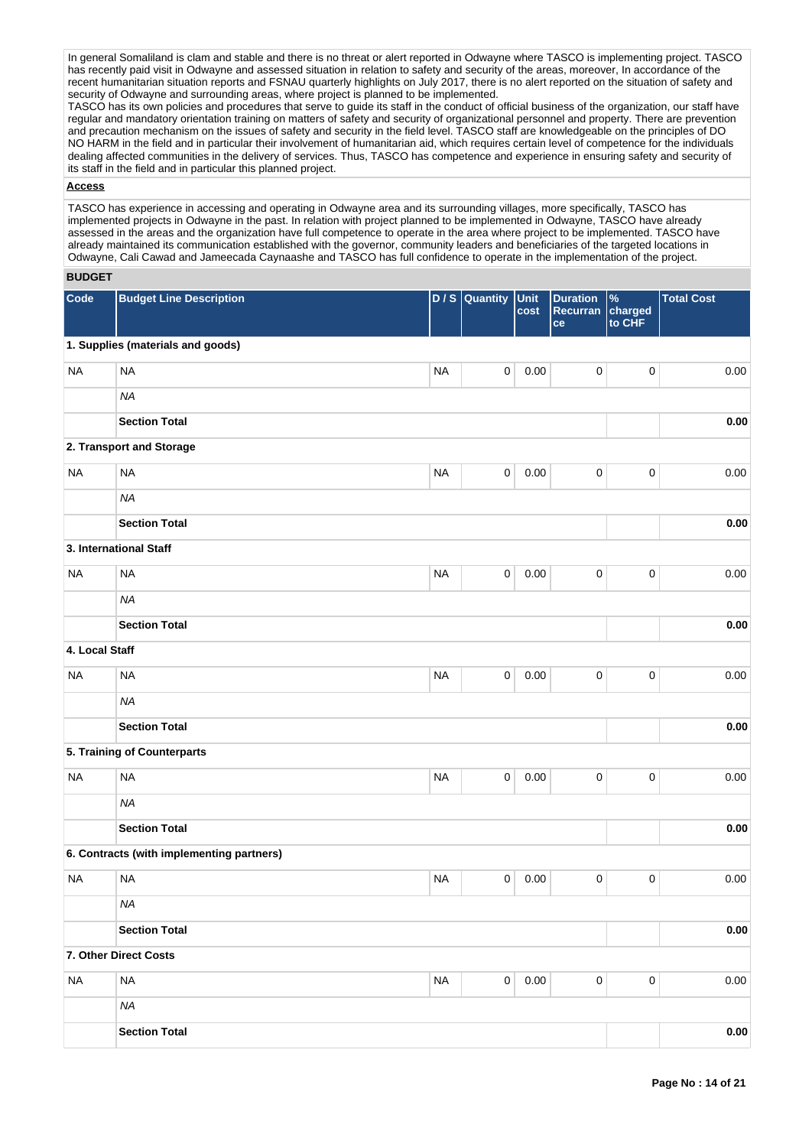In general Somaliland is clam and stable and there is no threat or alert reported in Odwayne where TASCO is implementing project. TASCO has recently paid visit in Odwayne and assessed situation in relation to safety and security of the areas, moreover, In accordance of the recent humanitarian situation reports and FSNAU quarterly highlights on July 2017, there is no alert reported on the situation of safety and recent humanitarian situation reports and FSNAU quarterly highlights on July 2017 security of Odwayne and surrounding areas, where project is planned to be implemented.

TASCO has its own policies and procedures that serve to guide its staff in the conduct of official business of the organization, our staff have regular and mandatory orientation training on matters of safety and security of organizational personnel and property. There are prevention and precaution mechanism on the issues of safety and security in the field level. TASCO staff are knowledgeable on the principles of DO NO HARM in the field and in particular their involvement of humanitarian aid, which requires certain level of competence for the individuals dealing affected communities in the delivery of services. Thus, TASCO has competence and experience in ensuring safety and security of its staff in the field and in particular this planned project.

## **Access**

TASCO has experience in accessing and operating in Odwayne area and its surrounding villages, more specifically, TASCO has implemented projects in Odwayne in the past. In relation with project planned to be implemented in Odwayne, TASCO have already assessed in the areas and the organization have full competence to operate in the area where project to be implemented. TASCO have already maintained its communication established with the governor, community leaders and beneficiaries of the targeted locations in Odwayne, Cali Cawad and Jameecada Caynaashe and TASCO has full confidence to operate in the implementation of the project.

## **BUDGET**

| Code           | <b>Budget Line Description</b>            | D/S       | Quantity    | Unit<br>cost | <b>Duration</b><br>Recurran<br>ce | $\%$<br>charged<br>to CHF | <b>Total Cost</b> |
|----------------|-------------------------------------------|-----------|-------------|--------------|-----------------------------------|---------------------------|-------------------|
|                | 1. Supplies (materials and goods)         |           |             |              |                                   |                           |                   |
| <b>NA</b>      | <b>NA</b>                                 | <b>NA</b> | 0           | 0.00         | $\pmb{0}$                         | $\pmb{0}$                 | 0.00              |
|                | <b>NA</b>                                 |           |             |              |                                   |                           |                   |
|                | <b>Section Total</b>                      |           |             |              |                                   |                           | 0.00              |
|                | 2. Transport and Storage                  |           |             |              |                                   |                           |                   |
| <b>NA</b>      | <b>NA</b>                                 | <b>NA</b> | $\mathsf 0$ | 0.00         | $\mathbf 0$                       | $\pmb{0}$                 | 0.00              |
|                | <b>NA</b>                                 |           |             |              |                                   |                           |                   |
|                | <b>Section Total</b>                      |           |             |              |                                   |                           | 0.00              |
|                | 3. International Staff                    |           |             |              |                                   |                           |                   |
| <b>NA</b>      | <b>NA</b>                                 | <b>NA</b> | $\mathsf 0$ | 0.00         | $\mathbf 0$                       | $\mathbf 0$               | 0.00              |
|                | <b>NA</b>                                 |           |             |              |                                   |                           |                   |
|                | <b>Section Total</b>                      |           |             |              |                                   |                           | 0.00              |
| 4. Local Staff |                                           |           |             |              |                                   |                           |                   |
| <b>NA</b>      | <b>NA</b>                                 | <b>NA</b> | $\pmb{0}$   | 0.00         | $\pmb{0}$                         | $\pmb{0}$                 | 0.00              |
|                | <b>NA</b>                                 |           |             |              |                                   |                           |                   |
|                | <b>Section Total</b>                      |           |             |              |                                   |                           | 0.00              |
|                | 5. Training of Counterparts               |           |             |              |                                   |                           |                   |
| <b>NA</b>      | <b>NA</b>                                 | <b>NA</b> | $\pmb{0}$   | 0.00         | $\pmb{0}$                         | $\pmb{0}$                 | 0.00              |
|                | <b>NA</b>                                 |           |             |              |                                   |                           |                   |
|                | <b>Section Total</b>                      |           |             |              |                                   |                           | 0.00              |
|                | 6. Contracts (with implementing partners) |           |             |              |                                   |                           |                   |
| <b>NA</b>      | <b>NA</b>                                 | <b>NA</b> | $\pmb{0}$   | 0.00         | $\pmb{0}$                         | $\pmb{0}$                 | 0.00              |
|                | <b>NA</b>                                 |           |             |              |                                   |                           |                   |
|                | <b>Section Total</b>                      |           |             |              |                                   |                           | 0.00              |
|                | 7. Other Direct Costs                     |           |             |              |                                   |                           |                   |
| <b>NA</b>      | <b>NA</b>                                 | <b>NA</b> | $\mathsf 0$ | 0.00         | $\pmb{0}$                         | $\pmb{0}$                 | 0.00              |
|                | <b>NA</b>                                 |           |             |              |                                   |                           |                   |
|                | <b>Section Total</b>                      |           |             |              |                                   |                           | 0.00              |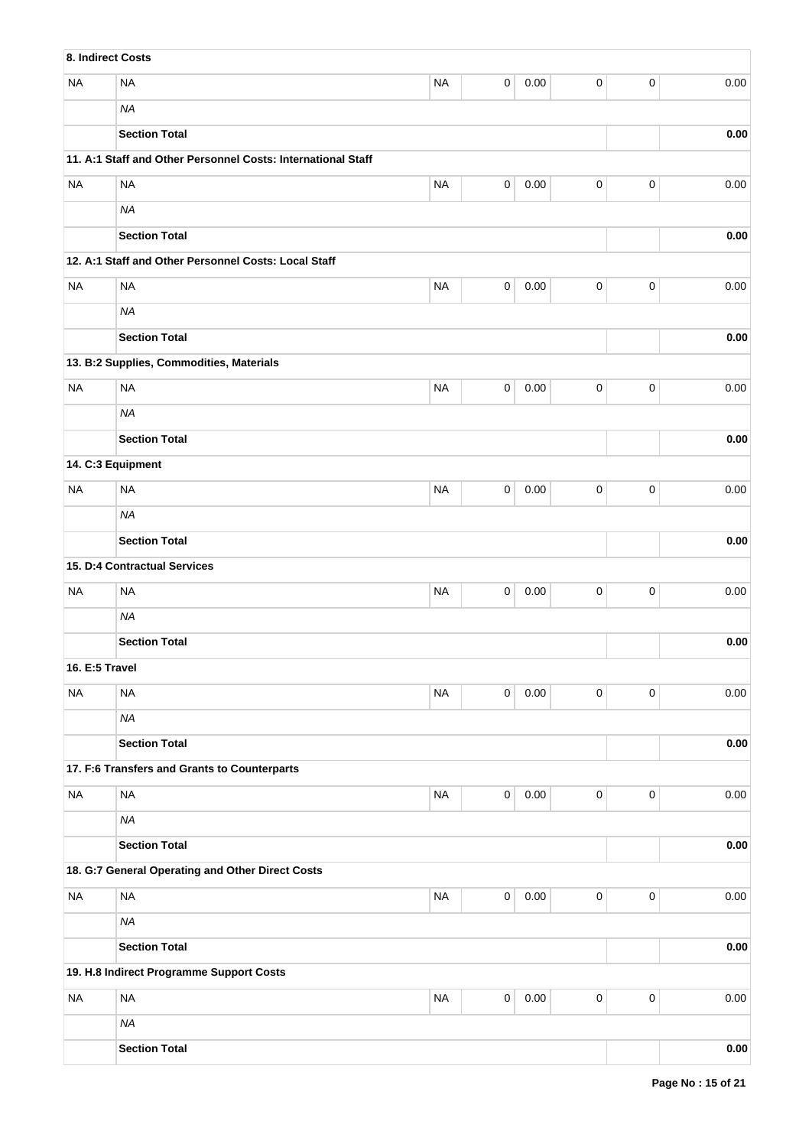| 8. Indirect Costs |                                                              |           |                |          |             |             |          |
|-------------------|--------------------------------------------------------------|-----------|----------------|----------|-------------|-------------|----------|
| <b>NA</b>         | <b>NA</b>                                                    | <b>NA</b> | $\mathsf 0$    | 0.00     | 0           | 0           | 0.00     |
|                   | <b>NA</b>                                                    |           |                |          |             |             |          |
|                   | <b>Section Total</b>                                         |           |                |          |             |             | 0.00     |
|                   | 11. A:1 Staff and Other Personnel Costs: International Staff |           |                |          |             |             |          |
| <b>NA</b>         | <b>NA</b>                                                    | <b>NA</b> | $\mathsf 0$    | 0.00     | 0           | 0           | 0.00     |
|                   | <b>NA</b>                                                    |           |                |          |             |             |          |
|                   | <b>Section Total</b>                                         |           |                |          |             |             | 0.00     |
|                   | 12. A:1 Staff and Other Personnel Costs: Local Staff         |           |                |          |             |             |          |
| <b>NA</b>         | <b>NA</b>                                                    | <b>NA</b> | $\mathsf 0$    | 0.00     | 0           | 0           | 0.00     |
|                   | <b>NA</b>                                                    |           |                |          |             |             |          |
|                   | <b>Section Total</b>                                         |           |                |          |             |             | 0.00     |
|                   | 13. B:2 Supplies, Commodities, Materials                     |           |                |          |             |             |          |
| <b>NA</b>         | <b>NA</b>                                                    | <b>NA</b> | 0              | 0.00     | 0           | 0           | 0.00     |
|                   | <b>NA</b>                                                    |           |                |          |             |             |          |
|                   | <b>Section Total</b>                                         |           |                |          |             |             | 0.00     |
| 14. C:3 Equipment |                                                              |           |                |          |             |             |          |
| <b>NA</b>         | <b>NA</b>                                                    | <b>NA</b> | 0              | 0.00     | 0           | 0           | 0.00     |
|                   | <b>NA</b>                                                    |           |                |          |             |             |          |
|                   | <b>Section Total</b>                                         |           |                |          |             |             | 0.00     |
|                   | 15. D:4 Contractual Services                                 |           |                |          |             |             |          |
| <b>NA</b>         | <b>NA</b>                                                    | <b>NA</b> | 0              | 0.00     | 0           | 0           | 0.00     |
|                   | <b>NA</b>                                                    |           |                |          |             |             |          |
|                   | <b>Section Total</b>                                         |           |                |          |             |             | 0.00     |
| 16. E:5 Travel    |                                                              |           |                |          |             |             |          |
| <b>NA</b>         | <b>NA</b>                                                    | <b>NA</b> | $\mathbf 0$    | $0.00\,$ | 0           | 0           | 0.00     |
|                   | <b>NA</b>                                                    |           |                |          |             |             |          |
|                   | <b>Section Total</b>                                         |           |                |          |             |             | 0.00     |
|                   | 17. F:6 Transfers and Grants to Counterparts                 |           |                |          |             |             |          |
| <b>NA</b>         | <b>NA</b>                                                    | <b>NA</b> | $\overline{0}$ | 0.00     | 0           | 0           | 0.00     |
|                   | <b>NA</b>                                                    |           |                |          |             |             |          |
|                   | <b>Section Total</b>                                         |           |                |          |             |             | 0.00     |
|                   | 18. G:7 General Operating and Other Direct Costs             |           |                |          |             |             |          |
| <b>NA</b>         | <b>NA</b>                                                    | <b>NA</b> | $\mathbf 0$    | $0.00\,$ | $\mathbf 0$ | $\mathbf 0$ | 0.00     |
|                   | <b>NA</b>                                                    |           |                |          |             |             |          |
|                   | <b>Section Total</b>                                         |           |                |          |             |             | 0.00     |
|                   | 19. H.8 Indirect Programme Support Costs                     |           |                |          |             |             |          |
| <b>NA</b>         | <b>NA</b>                                                    | <b>NA</b> | $\pmb{0}$      | $0.00\,$ | $\pmb{0}$   | $\mathsf 0$ | 0.00     |
|                   | <b>NA</b>                                                    |           |                |          |             |             |          |
|                   | <b>Section Total</b>                                         |           |                |          |             |             | $0.00\,$ |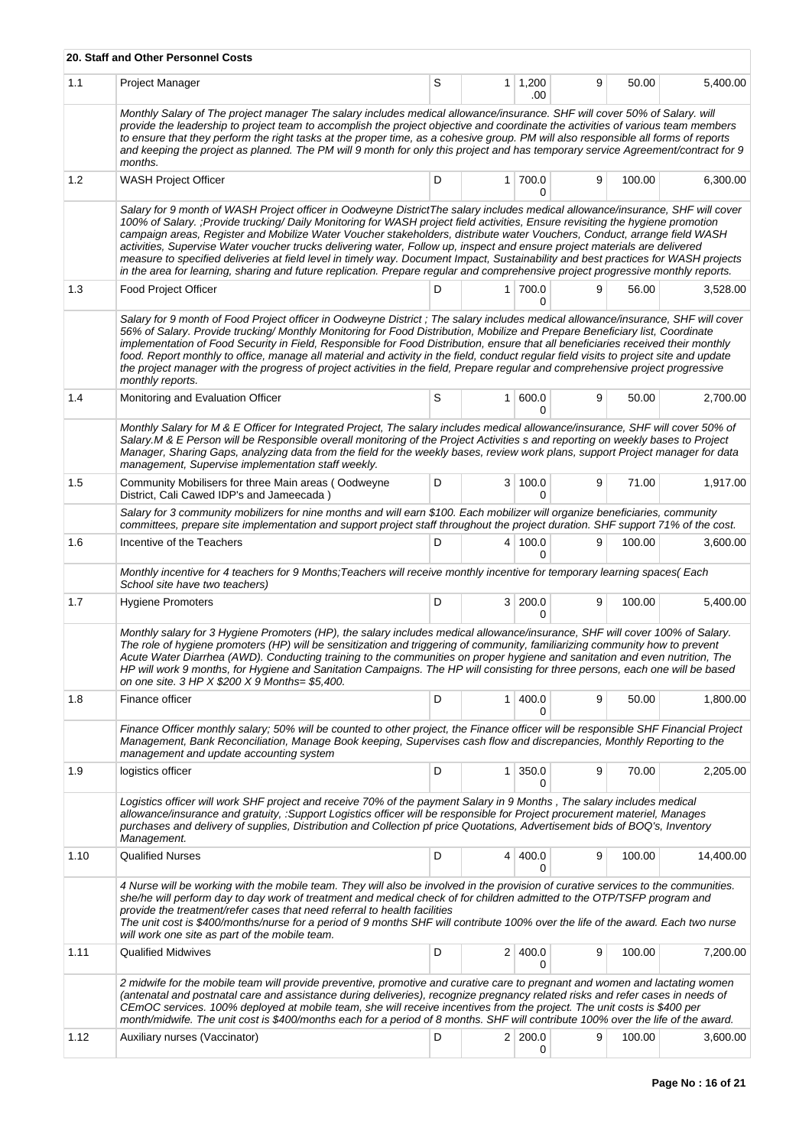|      | 20. Staff and Other Personnel Costs                                                                                                                                                                                                                                                                                                                                                                                                                                                                                                                                                                                                                                                                                                                                                                  |   |                |                       |   |        |           |
|------|------------------------------------------------------------------------------------------------------------------------------------------------------------------------------------------------------------------------------------------------------------------------------------------------------------------------------------------------------------------------------------------------------------------------------------------------------------------------------------------------------------------------------------------------------------------------------------------------------------------------------------------------------------------------------------------------------------------------------------------------------------------------------------------------------|---|----------------|-----------------------|---|--------|-----------|
| 1.1  | Project Manager                                                                                                                                                                                                                                                                                                                                                                                                                                                                                                                                                                                                                                                                                                                                                                                      | S |                | $1 \mid 1,200$<br>.00 | 9 | 50.00  | 5,400.00  |
|      | Monthly Salary of The project manager The salary includes medical allowance/insurance. SHF will cover 50% of Salary. will<br>provide the leadership to project team to accomplish the project objective and coordinate the activities of various team members<br>to ensure that they perform the right tasks at the proper time, as a cohesive group. PM will also responsible all forms of reports<br>and keeping the project as planned. The PM will 9 month for only this project and has temporary service Agreement/contract for 9<br>months.                                                                                                                                                                                                                                                   |   |                |                       |   |        |           |
| 1.2  | WASH Project Officer                                                                                                                                                                                                                                                                                                                                                                                                                                                                                                                                                                                                                                                                                                                                                                                 | D |                | 1 700.0<br>0          | 9 | 100.00 | 6,300.00  |
|      | Salary for 9 month of WASH Project officer in Oodweyne DistrictThe salary includes medical allowance/insurance, SHF will cover<br>100% of Salary. ; Provide trucking/Daily Monitoring for WASH project field activities, Ensure revisiting the hygiene promotion<br>campaign areas, Register and Mobilize Water Voucher stakeholders, distribute water Vouchers, Conduct, arrange field WASH<br>activities, Supervise Water voucher trucks delivering water, Follow up, inspect and ensure project materials are delivered<br>measure to specified deliveries at field level in timely way. Document Impact, Sustainability and best practices for WASH projects<br>in the area for learning, sharing and future replication. Prepare regular and comprehensive project progressive monthly reports. |   |                |                       |   |        |           |
| 1.3  | <b>Food Project Officer</b>                                                                                                                                                                                                                                                                                                                                                                                                                                                                                                                                                                                                                                                                                                                                                                          | D |                | 1 700.0<br>0          | 9 | 56.00  | 3,528.00  |
|      | Salary for 9 month of Food Project officer in Oodweyne District; The salary includes medical allowance/insurance, SHF will cover<br>56% of Salary. Provide trucking/ Monthly Monitoring for Food Distribution, Mobilize and Prepare Beneficiary list, Coordinate<br>implementation of Food Security in Field, Responsible for Food Distribution, ensure that all beneficiaries received their monthly<br>food. Report monthly to office, manage all material and activity in the field, conduct regular field visits to project site and update<br>the project manager with the progress of project activities in the field, Prepare regular and comprehensive project progressive<br>monthly reports.                                                                                               |   |                |                       |   |        |           |
| 1.4  | Monitoring and Evaluation Officer                                                                                                                                                                                                                                                                                                                                                                                                                                                                                                                                                                                                                                                                                                                                                                    | S |                | 1   600.0<br>0        | 9 | 50.00  | 2,700.00  |
|      | Monthly Salary for M & E Officer for Integrated Project, The salary includes medical allowance/insurance, SHF will cover 50% of<br>Salary.M & E Person will be Responsible overall monitoring of the Project Activities s and reporting on weekly bases to Project<br>Manager, Sharing Gaps, analyzing data from the field for the weekly bases, review work plans, support Project manager for data<br>management, Supervise implementation staff weekly.                                                                                                                                                                                                                                                                                                                                           |   |                |                       |   |        |           |
| 1.5  | Community Mobilisers for three Main areas (Oodweyne<br>District, Cali Cawed IDP's and Jameecada)                                                                                                                                                                                                                                                                                                                                                                                                                                                                                                                                                                                                                                                                                                     | D | 3              | 100.0<br>0            | 9 | 71.00  | 1,917.00  |
|      | Salary for 3 community mobilizers for nine months and will earn \$100. Each mobilizer will organize beneficiaries, community<br>committees, prepare site implementation and support project staff throughout the project duration. SHF support 71% of the cost.                                                                                                                                                                                                                                                                                                                                                                                                                                                                                                                                      |   |                |                       |   |        |           |
| 1.6  | Incentive of the Teachers                                                                                                                                                                                                                                                                                                                                                                                                                                                                                                                                                                                                                                                                                                                                                                            | D |                | 4 100.0<br>U          | 9 | 100.00 | 3,600.00  |
|      | Monthly incentive for 4 teachers for 9 Months; Teachers will receive monthly incentive for temporary learning spaces(Each<br>School site have two teachers)                                                                                                                                                                                                                                                                                                                                                                                                                                                                                                                                                                                                                                          |   |                |                       |   |        |           |
| 1.7  | <b>Hygiene Promoters</b>                                                                                                                                                                                                                                                                                                                                                                                                                                                                                                                                                                                                                                                                                                                                                                             | D |                | 3 200.0<br>$\Omega$   | 9 | 100.00 | 5,400.00  |
|      | Monthly salary for 3 Hygiene Promoters (HP), the salary includes medical allowance/insurance, SHF will cover 100% of Salary.<br>The role of hygiene promoters (HP) will be sensitization and triggering of community, familiarizing community how to prevent<br>Acute Water Diarrhea (AWD). Conducting training to the communities on proper hygiene and sanitation and even nutrition, The<br>HP will work 9 months, for Hygiene and Sanitation Campaigns. The HP will consisting for three persons, each one will be based<br>on one site. 3 HP X \$200 X 9 Months= \$5,400.                                                                                                                                                                                                                       |   |                |                       |   |        |           |
| 1.8  | Finance officer                                                                                                                                                                                                                                                                                                                                                                                                                                                                                                                                                                                                                                                                                                                                                                                      | D | 1 <sup>1</sup> | 400.0<br>0            | 9 | 50.00  | 1,800.00  |
|      | Finance Officer monthly salary; 50% will be counted to other project, the Finance officer will be responsible SHF Financial Project<br>Management, Bank Reconciliation, Manage Book keeping, Supervises cash flow and discrepancies, Monthly Reporting to the<br>management and update accounting system                                                                                                                                                                                                                                                                                                                                                                                                                                                                                             |   |                |                       |   |        |           |
| 1.9  | logistics officer                                                                                                                                                                                                                                                                                                                                                                                                                                                                                                                                                                                                                                                                                                                                                                                    | D |                | $1 \vert 350.0$<br>0  | 9 | 70.00  | 2,205.00  |
|      | Logistics officer will work SHF project and receive 70% of the payment Salary in 9 Months, The salary includes medical<br>allowance/insurance and gratuity, :Support Logistics officer will be responsible for Project procurement materiel, Manages<br>purchases and delivery of supplies, Distribution and Collection pf price Quotations, Advertisement bids of BOQ's, Inventory<br>Management.                                                                                                                                                                                                                                                                                                                                                                                                   |   |                |                       |   |        |           |
| 1.10 | <b>Qualified Nurses</b>                                                                                                                                                                                                                                                                                                                                                                                                                                                                                                                                                                                                                                                                                                                                                                              | D | 4 <sup>1</sup> | 400.0<br>0            | 9 | 100.00 | 14,400.00 |
|      | 4 Nurse will be working with the mobile team. They will also be involved in the provision of curative services to the communities.<br>she/he will perform day to day work of treatment and medical check of for children admitted to the OTP/TSFP program and<br>provide the treatment/refer cases that need referral to health facilities<br>The unit cost is \$400/months/nurse for a period of 9 months SHF will contribute 100% over the life of the award. Each two nurse<br>will work one site as part of the mobile team.                                                                                                                                                                                                                                                                     |   |                |                       |   |        |           |
| 1.11 | <b>Qualified Midwives</b>                                                                                                                                                                                                                                                                                                                                                                                                                                                                                                                                                                                                                                                                                                                                                                            | D |                | 2 400.0<br>0          | 9 | 100.00 | 7,200.00  |
|      | 2 midwife for the mobile team will provide preventive, promotive and curative care to pregnant and women and lactating women<br>(antenatal and postnatal care and assistance during deliveries), recognize pregnancy related risks and refer cases in needs of<br>CEmOC services. 100% deployed at mobile team, she will receive incentives from the project. The unit costs is \$400 per<br>month/midwife. The unit cost is \$400/months each for a period of 8 months. SHF will contribute 100% over the life of the award.                                                                                                                                                                                                                                                                        |   |                |                       |   |        |           |
| 1.12 | Auxiliary nurses (Vaccinator)                                                                                                                                                                                                                                                                                                                                                                                                                                                                                                                                                                                                                                                                                                                                                                        | D |                | 2 200.0<br>0          | 9 | 100.00 | 3,600.00  |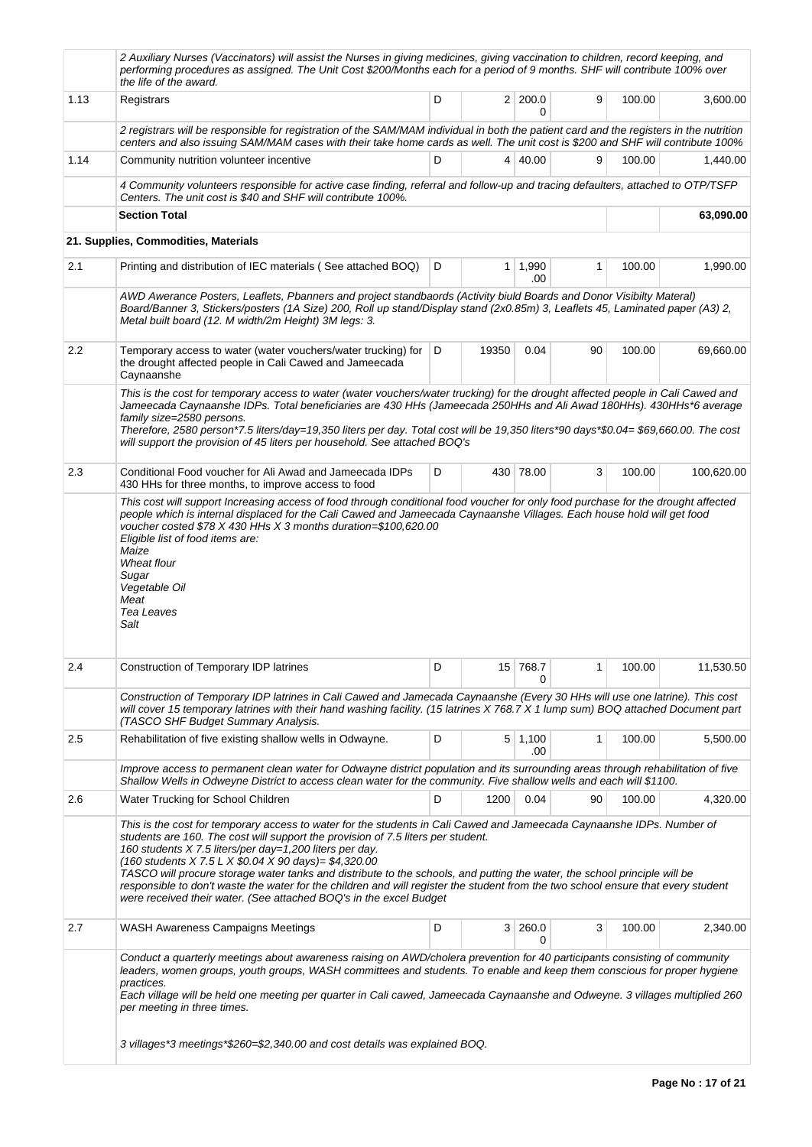|         | 2 Auxiliary Nurses (Vaccinators) will assist the Nurses in giving medicines, giving vaccination to children, record keeping, and<br>performing procedures as assigned. The Unit Cost \$200/Months each for a period of 9 months. SHF will contribute 100% over<br>the life of the award.                                                                                                                                                                                                                                                                                                                                                                               |   |       |                       |    |        |            |
|---------|------------------------------------------------------------------------------------------------------------------------------------------------------------------------------------------------------------------------------------------------------------------------------------------------------------------------------------------------------------------------------------------------------------------------------------------------------------------------------------------------------------------------------------------------------------------------------------------------------------------------------------------------------------------------|---|-------|-----------------------|----|--------|------------|
| 1.13    | Registrars                                                                                                                                                                                                                                                                                                                                                                                                                                                                                                                                                                                                                                                             | D |       | 2 200.0<br>0          | 9  | 100.00 | 3,600.00   |
|         | 2 registrars will be responsible for registration of the SAM/MAM individual in both the patient card and the registers in the nutrition<br>centers and also issuing SAM/MAM cases with their take home cards as well. The unit cost is \$200 and SHF will contribute 100%                                                                                                                                                                                                                                                                                                                                                                                              |   |       |                       |    |        |            |
| 1.14    | Community nutrition volunteer incentive                                                                                                                                                                                                                                                                                                                                                                                                                                                                                                                                                                                                                                | D |       | 4 40.00               | 9  | 100.00 | 1,440.00   |
|         | 4 Community volunteers responsible for active case finding, referral and follow-up and tracing defaulters, attached to OTP/TSFP<br>Centers. The unit cost is \$40 and SHF will contribute 100%.                                                                                                                                                                                                                                                                                                                                                                                                                                                                        |   |       |                       |    |        |            |
|         | <b>Section Total</b>                                                                                                                                                                                                                                                                                                                                                                                                                                                                                                                                                                                                                                                   |   |       |                       |    |        | 63,090.00  |
|         | 21. Supplies, Commodities, Materials                                                                                                                                                                                                                                                                                                                                                                                                                                                                                                                                                                                                                                   |   |       |                       |    |        |            |
| 2.1     | Printing and distribution of IEC materials (See attached BOQ)                                                                                                                                                                                                                                                                                                                                                                                                                                                                                                                                                                                                          | D |       | $1 \mid 1,990$<br>.00 | 1  | 100.00 | 1,990.00   |
|         | AWD Awerance Posters, Leaflets, Pbanners and project standbaords (Activity biuld Boards and Donor Visibilty Materal)<br>Board/Banner 3, Stickers/posters (1A Size) 200, Roll up stand/Display stand (2x0.85m) 3, Leaflets 45, Laminated paper (A3) 2,<br>Metal built board (12. M width/2m Height) 3M legs: 3.                                                                                                                                                                                                                                                                                                                                                         |   |       |                       |    |        |            |
| $2.2\,$ | Temporary access to water (water vouchers/water trucking) for<br>the drought affected people in Cali Cawed and Jameecada<br>Caynaanshe                                                                                                                                                                                                                                                                                                                                                                                                                                                                                                                                 | D | 19350 | 0.04                  | 90 | 100.00 | 69,660.00  |
|         | This is the cost for temporary access to water (water vouchers/water trucking) for the drought affected people in Cali Cawed and<br>Jameecada Caynaanshe IDPs. Total beneficiaries are 430 HHs (Jameecada 250HHs and Ali Awad 180HHs). 430HHs*6 average<br>family size=2580 persons.<br>Therefore, 2580 person*7.5 liters/day=19,350 liters per day. Total cost will be 19,350 liters*90 days*\$0.04= \$69,660.00. The cost<br>will support the provision of 45 liters per household. See attached BOQ's                                                                                                                                                               |   |       |                       |    |        |            |
| 2.3     | Conditional Food voucher for Ali Awad and Jameecada IDPs<br>430 HHs for three months, to improve access to food                                                                                                                                                                                                                                                                                                                                                                                                                                                                                                                                                        | D |       | 430 78.00             | 3  | 100.00 | 100,620.00 |
|         | voucher costed \$78 X 430 HHs X 3 months duration=\$100,620.00<br>Eligible list of food items are:<br>Maize<br>Wheat flour<br>Sugar<br>Vegetable Oil<br>Meat<br>Tea Leaves<br>Salt                                                                                                                                                                                                                                                                                                                                                                                                                                                                                     |   |       |                       |    |        |            |
| 2.4     | Construction of Temporary IDP latrines                                                                                                                                                                                                                                                                                                                                                                                                                                                                                                                                                                                                                                 | D |       | 15 768.7<br>0         | 1  | 100.00 | 11,530.50  |
|         | Construction of Temporary IDP latrines in Cali Cawed and Jamecada Caynaanshe (Every 30 HHs will use one latrine). This cost<br>will cover 15 temporary latrines with their hand washing facility. (15 latrines X 768.7 X 1 lump sum) BOQ attached Document part<br>(TASCO SHF Budget Summary Analysis.                                                                                                                                                                                                                                                                                                                                                                 |   |       |                       |    |        |            |
| 2.5     | Rehabilitation of five existing shallow wells in Odwayne.                                                                                                                                                                                                                                                                                                                                                                                                                                                                                                                                                                                                              | D |       | 5 1,100<br>.00        | 1  | 100.00 | 5,500.00   |
|         | Improve access to permanent clean water for Odwayne district population and its surrounding areas through rehabilitation of five<br>Shallow Wells in Odweyne District to access clean water for the community. Five shallow wells and each will \$1100.                                                                                                                                                                                                                                                                                                                                                                                                                |   |       |                       |    |        |            |
| 2.6     | Water Trucking for School Children                                                                                                                                                                                                                                                                                                                                                                                                                                                                                                                                                                                                                                     | D | 1200  | 0.04                  | 90 | 100.00 | 4,320.00   |
|         | This is the cost for temporary access to water for the students in Cali Cawed and Jameecada Caynaanshe IDPs. Number of<br>students are 160. The cost will support the provision of 7.5 liters per student.<br>160 students X 7.5 liters/per day=1,200 liters per day.<br>(160 students X 7.5 L X \$0.04 X 90 days)= \$4,320.00<br>TASCO will procure storage water tanks and distribute to the schools, and putting the water, the school principle will be<br>responsible to don't waste the water for the children and will register the student from the two school ensure that every student<br>were received their water. (See attached BOQ's in the excel Budget |   |       |                       |    |        |            |
| 2.7     | WASH Awareness Campaigns Meetings                                                                                                                                                                                                                                                                                                                                                                                                                                                                                                                                                                                                                                      | D |       | 3 260.0<br>$\Omega$   | 3  | 100.00 | 2,340.00   |
|         | Conduct a quarterly meetings about awareness raising on AWD/cholera prevention for 40 participants consisting of community<br>leaders, women groups, youth groups, WASH committees and students. To enable and keep them conscious for proper hygiene<br>practices.<br>Each village will be held one meeting per quarter in Cali cawed, Jameecada Caynaanshe and Odweyne. 3 villages multiplied 260<br>per meeting in three times.<br>3 villages*3 meetings*\$260=\$2,340.00 and cost details was explained BOQ.                                                                                                                                                       |   |       |                       |    |        |            |
|         |                                                                                                                                                                                                                                                                                                                                                                                                                                                                                                                                                                                                                                                                        |   |       |                       |    |        |            |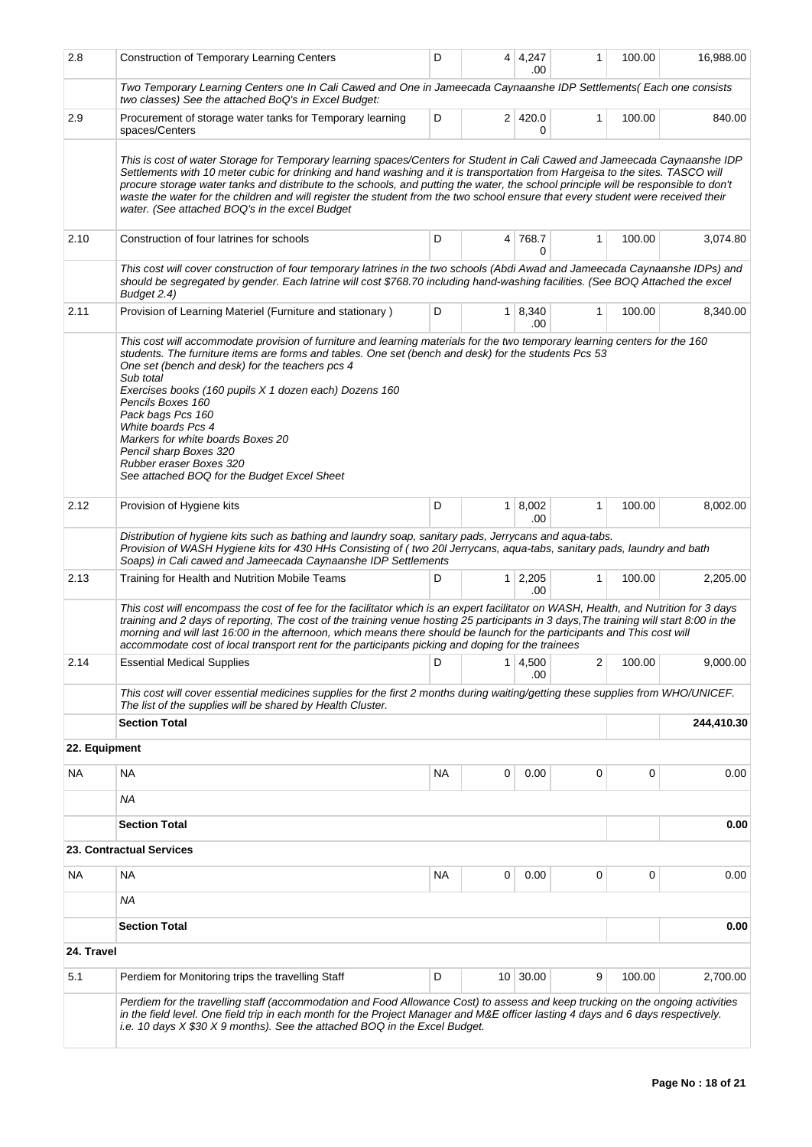| 2.8           | <b>Construction of Temporary Learning Centers</b>                                                                                                                                                                                                                                                                                                                                                                                                                                                                                                                                        | D   |                | $4 \mid 4,247$<br>.00 | 1            | 100.00   | 16,988.00  |
|---------------|------------------------------------------------------------------------------------------------------------------------------------------------------------------------------------------------------------------------------------------------------------------------------------------------------------------------------------------------------------------------------------------------------------------------------------------------------------------------------------------------------------------------------------------------------------------------------------------|-----|----------------|-----------------------|--------------|----------|------------|
|               | Two Temporary Learning Centers one In Cali Cawed and One in Jameecada Caynaanshe IDP Settlements( Each one consists<br>two classes) See the attached BoQ's in Excel Budget:                                                                                                                                                                                                                                                                                                                                                                                                              |     |                |                       |              |          |            |
| 2.9           | Procurement of storage water tanks for Temporary learning<br>spaces/Centers                                                                                                                                                                                                                                                                                                                                                                                                                                                                                                              | D   |                | 2 420.0<br>0          | 1            | 100.00   | 840.00     |
|               | This is cost of water Storage for Temporary learning spaces/Centers for Student in Cali Cawed and Jameecada Caynaanshe IDP<br>Settlements with 10 meter cubic for drinking and hand washing and it is transportation from Hargeisa to the sites. TASCO will<br>procure storage water tanks and distribute to the schools, and putting the water, the school principle will be responsible to don't<br>waste the water for the children and will register the student from the two school ensure that every student were received their<br>water. (See attached BOQ's in the excel Budget |     |                |                       |              |          |            |
| 2.10          | Construction of four latrines for schools                                                                                                                                                                                                                                                                                                                                                                                                                                                                                                                                                | D   |                | 4 768.7<br>0          | 1            | 100.00   | 3,074.80   |
|               | This cost will cover construction of four temporary latrines in the two schools (Abdi Awad and Jameecada Caynaanshe IDPs) and<br>should be segregated by gender. Each latrine will cost \$768.70 including hand-washing facilities. (See BOQ Attached the excel<br>Budget 2.4)                                                                                                                                                                                                                                                                                                           |     |                |                       |              |          |            |
| 2.11          | Provision of Learning Materiel (Furniture and stationary)                                                                                                                                                                                                                                                                                                                                                                                                                                                                                                                                | D   |                | $1 \mid 8,340$<br>.00 | 1            | 100.00   | 8,340.00   |
|               | This cost will accommodate provision of furniture and learning materials for the two temporary learning centers for the 160<br>students. The furniture items are forms and tables. One set (bench and desk) for the students Pcs 53<br>One set (bench and desk) for the teachers pcs 4<br>Sub total<br>Exercises books (160 pupils X 1 dozen each) Dozens 160<br>Pencils Boxes 160<br>Pack bags Pcs 160<br>White boards Pcs 4<br>Markers for white boards Boxes 20<br>Pencil sharp Boxes 320<br>Rubber eraser Boxes 320<br>See attached BOQ for the Budget Excel Sheet                   |     |                |                       |              |          |            |
| 2.12          | Provision of Hygiene kits                                                                                                                                                                                                                                                                                                                                                                                                                                                                                                                                                                | D   |                | 1   8,002<br>.00      | 1            | 100.00   | 8,002.00   |
|               | Distribution of hygiene kits such as bathing and laundry soap, sanitary pads, Jerrycans and aqua-tabs.<br>Provision of WASH Hygiene kits for 430 HHs Consisting of (two 20I Jerrycans, aqua-tabs, sanitary pads, laundry and bath<br>Soaps) in Cali cawed and Jameecada Caynaanshe IDP Settlements                                                                                                                                                                                                                                                                                       |     |                |                       |              |          |            |
| 2.13          | Training for Health and Nutrition Mobile Teams                                                                                                                                                                                                                                                                                                                                                                                                                                                                                                                                           | D   | 1 <sup>1</sup> | 2,205<br>.00          | $\mathbf{1}$ | 100.00   | 2,205.00   |
|               | This cost will encompass the cost of fee for the facilitator which is an expert facilitator on WASH, Health, and Nutrition for 3 days<br>training and 2 days of reporting, The cost of the training venue hosting 25 participants in 3 days, The training will start 8:00 in the<br>morning and will last 16:00 in the afternoon, which means there should be launch for the participants and This cost will<br>accommodate cost of local transport rent for the participants picking and doping for the trainees                                                                        |     |                |                       |              |          |            |
| 2.14          | <b>Essential Medical Supplies</b>                                                                                                                                                                                                                                                                                                                                                                                                                                                                                                                                                        |     |                | .00                   |              | 2 100.00 | 9,000.00   |
|               | This cost will cover essential medicines supplies for the first 2 months during waiting/getting these supplies from WHO/UNICEF.<br>The list of the supplies will be shared by Health Cluster.                                                                                                                                                                                                                                                                                                                                                                                            |     |                |                       |              |          |            |
|               | <b>Section Total</b>                                                                                                                                                                                                                                                                                                                                                                                                                                                                                                                                                                     |     |                |                       |              |          | 244,410.30 |
| 22. Equipment |                                                                                                                                                                                                                                                                                                                                                                                                                                                                                                                                                                                          |     |                |                       |              |          |            |
| NA            | <b>NA</b>                                                                                                                                                                                                                                                                                                                                                                                                                                                                                                                                                                                | NA. | 0              | 0.00                  | 0            | 0        | 0.00       |
|               | <b>NA</b><br><b>Section Total</b>                                                                                                                                                                                                                                                                                                                                                                                                                                                                                                                                                        |     |                |                       |              |          | 0.00       |
|               | 23. Contractual Services                                                                                                                                                                                                                                                                                                                                                                                                                                                                                                                                                                 |     |                |                       |              |          |            |
| NA            | NA                                                                                                                                                                                                                                                                                                                                                                                                                                                                                                                                                                                       | ΝA  | 0              | 0.00                  | 0            | 0        | 0.00       |
|               | NA                                                                                                                                                                                                                                                                                                                                                                                                                                                                                                                                                                                       |     |                |                       |              |          |            |
|               | <b>Section Total</b>                                                                                                                                                                                                                                                                                                                                                                                                                                                                                                                                                                     |     |                |                       |              |          | 0.00       |
| 24. Travel    |                                                                                                                                                                                                                                                                                                                                                                                                                                                                                                                                                                                          |     |                |                       |              |          |            |
| 5.1           | Perdiem for Monitoring trips the travelling Staff                                                                                                                                                                                                                                                                                                                                                                                                                                                                                                                                        | D   |                | 10 30.00              | 9            | 100.00   | 2,700.00   |
|               | Perdiem for the travelling staff (accommodation and Food Allowance Cost) to assess and keep trucking on the ongoing activities<br>in the field level. One field trip in each month for the Project Manager and M&E officer lasting 4 days and 6 days respectively.<br>i.e. 10 days X \$30 X 9 months). See the attached BOQ in the Excel Budget.                                                                                                                                                                                                                                         |     |                |                       |              |          |            |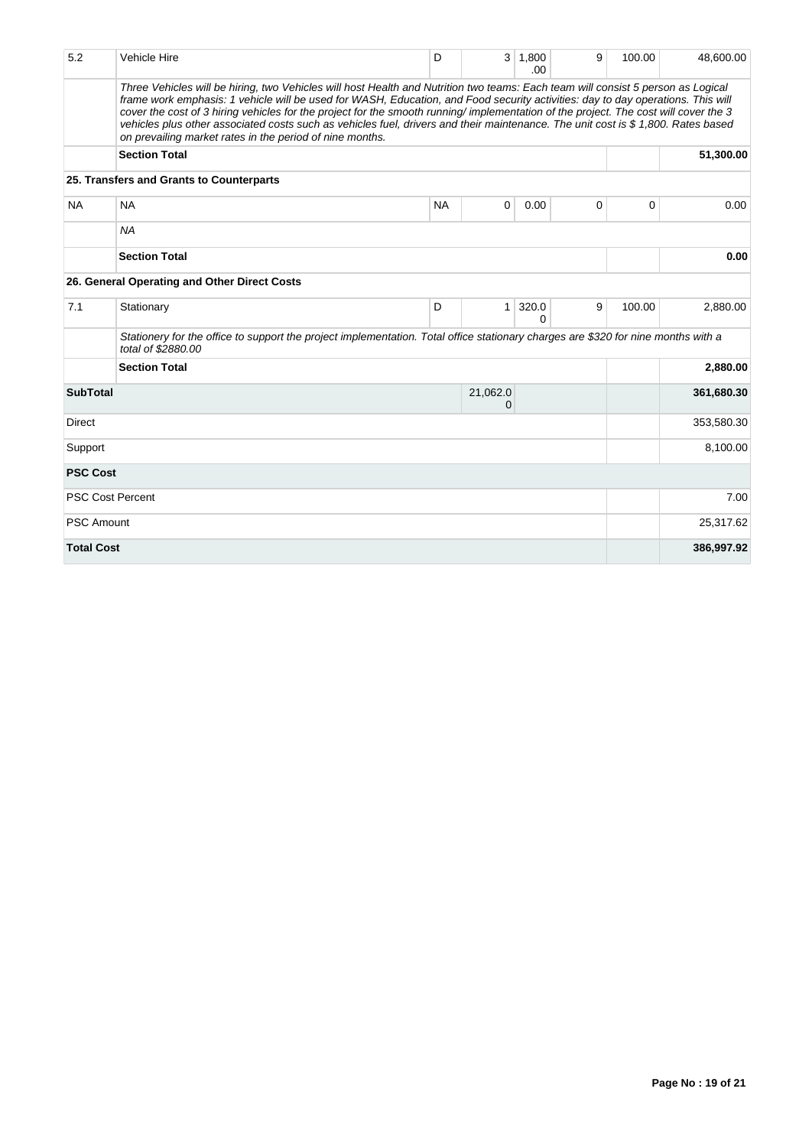| 5.2               | <b>Vehicle Hire</b>                                                                                                                                                                                                                                                                                                                                                                                                                                                                                                                                                                                        | D         |               | $3 \mid 1,800$<br>.00 | 9           | 100.00 | 48,600.00  |
|-------------------|------------------------------------------------------------------------------------------------------------------------------------------------------------------------------------------------------------------------------------------------------------------------------------------------------------------------------------------------------------------------------------------------------------------------------------------------------------------------------------------------------------------------------------------------------------------------------------------------------------|-----------|---------------|-----------------------|-------------|--------|------------|
|                   | Three Vehicles will be hiring, two Vehicles will host Health and Nutrition two teams: Each team will consist 5 person as Logical<br>frame work emphasis: 1 vehicle will be used for WASH, Education, and Food security activities: day to day operations. This will<br>cover the cost of 3 hiring vehicles for the project for the smooth running/implementation of the project. The cost will cover the 3<br>vehicles plus other associated costs such as vehicles fuel, drivers and their maintenance. The unit cost is \$1,800. Rates based<br>on prevailing market rates in the period of nine months. |           |               |                       |             |        |            |
|                   | <b>Section Total</b>                                                                                                                                                                                                                                                                                                                                                                                                                                                                                                                                                                                       |           |               |                       |             |        | 51,300.00  |
|                   | 25. Transfers and Grants to Counterparts                                                                                                                                                                                                                                                                                                                                                                                                                                                                                                                                                                   |           |               |                       |             |        |            |
| <b>NA</b>         | <b>NA</b>                                                                                                                                                                                                                                                                                                                                                                                                                                                                                                                                                                                                  | <b>NA</b> | 0             | 0.00                  | $\mathbf 0$ | 0      | 0.00       |
|                   | <b>NA</b>                                                                                                                                                                                                                                                                                                                                                                                                                                                                                                                                                                                                  |           |               |                       |             |        |            |
|                   | <b>Section Total</b>                                                                                                                                                                                                                                                                                                                                                                                                                                                                                                                                                                                       |           |               |                       |             |        | 0.00       |
|                   | 26. General Operating and Other Direct Costs                                                                                                                                                                                                                                                                                                                                                                                                                                                                                                                                                               |           |               |                       |             |        |            |
| 7.1               | Stationary                                                                                                                                                                                                                                                                                                                                                                                                                                                                                                                                                                                                 | D         | 1             | 320.0<br>O            | 9           | 100.00 | 2,880.00   |
|                   | Stationery for the office to support the project implementation. Total office stationary charges are \$320 for nine months with a<br>total of \$2880.00                                                                                                                                                                                                                                                                                                                                                                                                                                                    |           |               |                       |             |        |            |
|                   | <b>Section Total</b>                                                                                                                                                                                                                                                                                                                                                                                                                                                                                                                                                                                       |           |               |                       |             |        | 2,880.00   |
| <b>SubTotal</b>   |                                                                                                                                                                                                                                                                                                                                                                                                                                                                                                                                                                                                            |           | 21,062.0<br>0 |                       |             |        | 361,680.30 |
| <b>Direct</b>     |                                                                                                                                                                                                                                                                                                                                                                                                                                                                                                                                                                                                            |           |               |                       |             |        | 353,580.30 |
| Support           |                                                                                                                                                                                                                                                                                                                                                                                                                                                                                                                                                                                                            |           |               |                       |             |        | 8,100.00   |
| <b>PSC Cost</b>   |                                                                                                                                                                                                                                                                                                                                                                                                                                                                                                                                                                                                            |           |               |                       |             |        |            |
|                   | <b>PSC Cost Percent</b>                                                                                                                                                                                                                                                                                                                                                                                                                                                                                                                                                                                    |           |               |                       |             |        | 7.00       |
| <b>PSC Amount</b> |                                                                                                                                                                                                                                                                                                                                                                                                                                                                                                                                                                                                            |           |               |                       |             |        | 25,317.62  |
| <b>Total Cost</b> |                                                                                                                                                                                                                                                                                                                                                                                                                                                                                                                                                                                                            |           |               |                       |             |        | 386,997.92 |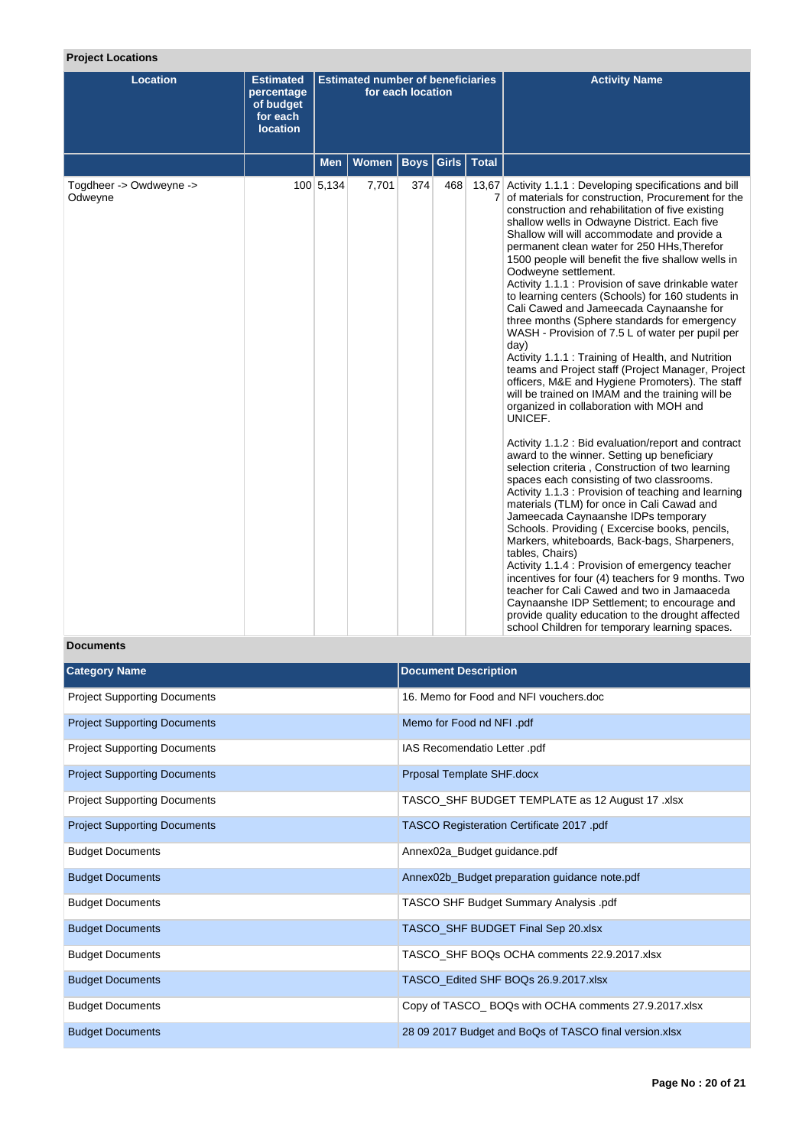# **Project Locations**

| <b>Location</b>                    | <b>Estimated</b><br>percentage<br>of budget<br>for each<br><b>location</b> | <b>Estimated number of beneficiaries</b><br>for each location |              |             |       |              |                                                                                                                                                                                                                                                                                                                                                                                                                                                                                                                                                                                                                                                                                                                                                                                                                                                                                                                                                                                                                                                                                                                                                                                                                                                                                                                                                                                                                                                                                                                                                                                                                                                                                                                                  |  |  | <b>Activity Name</b> |
|------------------------------------|----------------------------------------------------------------------------|---------------------------------------------------------------|--------------|-------------|-------|--------------|----------------------------------------------------------------------------------------------------------------------------------------------------------------------------------------------------------------------------------------------------------------------------------------------------------------------------------------------------------------------------------------------------------------------------------------------------------------------------------------------------------------------------------------------------------------------------------------------------------------------------------------------------------------------------------------------------------------------------------------------------------------------------------------------------------------------------------------------------------------------------------------------------------------------------------------------------------------------------------------------------------------------------------------------------------------------------------------------------------------------------------------------------------------------------------------------------------------------------------------------------------------------------------------------------------------------------------------------------------------------------------------------------------------------------------------------------------------------------------------------------------------------------------------------------------------------------------------------------------------------------------------------------------------------------------------------------------------------------------|--|--|----------------------|
|                                    |                                                                            | <b>Men</b>                                                    | <b>Women</b> | <b>Boys</b> | Girls | <b>Total</b> |                                                                                                                                                                                                                                                                                                                                                                                                                                                                                                                                                                                                                                                                                                                                                                                                                                                                                                                                                                                                                                                                                                                                                                                                                                                                                                                                                                                                                                                                                                                                                                                                                                                                                                                                  |  |  |                      |
| Togdheer -> Owdweyne -><br>Odweyne |                                                                            | 100 5,134                                                     | 7,701        | 374         | 468   |              | 13,67 Activity 1.1.1 : Developing specifications and bill<br>7 of materials for construction, Procurement for the<br>construction and rehabilitation of five existing<br>shallow wells in Odwayne District. Each five<br>Shallow will will accommodate and provide a<br>permanent clean water for 250 HHs, Therefor<br>1500 people will benefit the five shallow wells in<br>Oodweyne settlement.<br>Activity 1.1.1 : Provision of save drinkable water<br>to learning centers (Schools) for 160 students in<br>Cali Cawed and Jameecada Caynaanshe for<br>three months (Sphere standards for emergency<br>WASH - Provision of 7.5 L of water per pupil per<br>day)<br>Activity 1.1.1 : Training of Health, and Nutrition<br>teams and Project staff (Project Manager, Project<br>officers, M&E and Hygiene Promoters). The staff<br>will be trained on IMAM and the training will be<br>organized in collaboration with MOH and<br>UNICEF.<br>Activity 1.1.2 : Bid evaluation/report and contract<br>award to the winner. Setting up beneficiary<br>selection criteria, Construction of two learning<br>spaces each consisting of two classrooms.<br>Activity 1.1.3 : Provision of teaching and learning<br>materials (TLM) for once in Cali Cawad and<br>Jameecada Caynaanshe IDPs temporary<br>Schools. Providing (Excercise books, pencils,<br>Markers, whiteboards, Back-bags, Sharpeners,<br>tables, Chairs)<br>Activity 1.1.4 : Provision of emergency teacher<br>incentives for four (4) teachers for 9 months. Two<br>teacher for Cali Cawed and two in Jamaaceda<br>Caynaanshe IDP Settlement; to encourage and<br>provide quality education to the drought affected<br>school Children for temporary learning spaces. |  |  |                      |

# **Documents**

| <b>Category Name</b>                | <b>Document Description</b>                            |
|-------------------------------------|--------------------------------------------------------|
| <b>Project Supporting Documents</b> | 16. Memo for Food and NFI vouchers.doc                 |
| <b>Project Supporting Documents</b> | Memo for Food nd NFI .pdf                              |
| <b>Project Supporting Documents</b> | IAS Recomendatio Letter .pdf                           |
| <b>Project Supporting Documents</b> | Prposal Template SHF.docx                              |
| <b>Project Supporting Documents</b> | TASCO_SHF BUDGET TEMPLATE as 12 August 17 .xlsx        |
| <b>Project Supporting Documents</b> | TASCO Registeration Certificate 2017 .pdf              |
| <b>Budget Documents</b>             | Annex02a_Budget guidance.pdf                           |
| <b>Budget Documents</b>             | Annex02b_Budget preparation guidance note.pdf          |
| <b>Budget Documents</b>             | TASCO SHF Budget Summary Analysis .pdf                 |
| <b>Budget Documents</b>             | TASCO_SHF BUDGET Final Sep 20.xlsx                     |
| <b>Budget Documents</b>             | TASCO_SHF BOQs OCHA comments 22.9.2017.xlsx            |
| <b>Budget Documents</b>             | TASCO_Edited SHF BOQs 26.9.2017.xlsx                   |
| <b>Budget Documents</b>             | Copy of TASCO_ BOQs with OCHA comments 27.9.2017.xlsx  |
| <b>Budget Documents</b>             | 28 09 2017 Budget and BoQs of TASCO final version.xlsx |